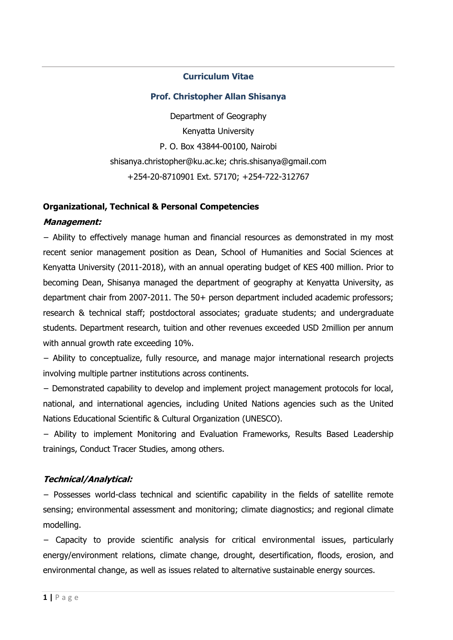### **Curriculum Vitae**

### **Prof. Christopher Allan Shisanya**

Department of Geography Kenyatta University P. O. Box 43844-00100, Nairobi shisanya.christopher@ku.ac.ke; chris.shisanya@gmail.com +254-20-8710901 Ext. 57170; +254-722-312767

### **Organizational, Technical & Personal Competencies**

#### **Management:**

− Ability to effectively manage human and financial resources as demonstrated in my most recent senior management position as Dean, School of Humanities and Social Sciences at Kenyatta University (2011-2018), with an annual operating budget of KES 400 million. Prior to becoming Dean, Shisanya managed the department of geography at Kenyatta University, as department chair from 2007-2011. The 50+ person department included academic professors; research & technical staff; postdoctoral associates; graduate students; and undergraduate students. Department research, tuition and other revenues exceeded USD 2million per annum with annual growth rate exceeding 10%.

− Ability to conceptualize, fully resource, and manage major international research projects involving multiple partner institutions across continents.

− Demonstrated capability to develop and implement project management protocols for local, national, and international agencies, including United Nations agencies such as the United Nations Educational Scientific & Cultural Organization (UNESCO).

− Ability to implement Monitoring and Evaluation Frameworks, Results Based Leadership trainings, Conduct Tracer Studies, among others.

### **Technical/Analytical:**

− Possesses world-class technical and scientific capability in the fields of satellite remote sensing; environmental assessment and monitoring; climate diagnostics; and regional climate modelling.

− Capacity to provide scientific analysis for critical environmental issues, particularly energy/environment relations, climate change, drought, desertification, floods, erosion, and environmental change, as well as issues related to alternative sustainable energy sources.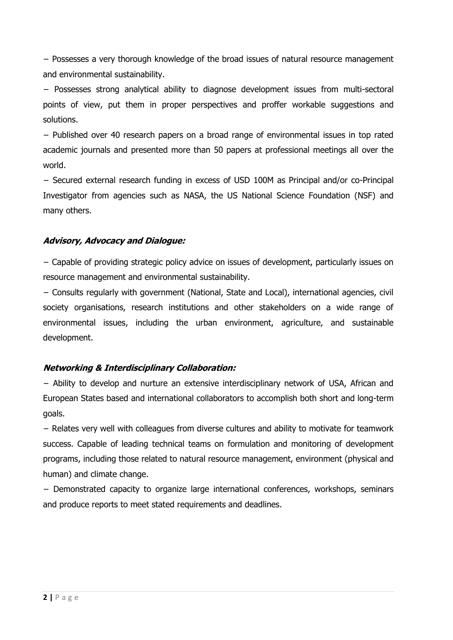− Possesses a very thorough knowledge of the broad issues of natural resource management and environmental sustainability.

− Possesses strong analytical ability to diagnose development issues from multi-sectoral points of view, put them in proper perspectives and proffer workable suggestions and solutions.

− Published over 40 research papers on a broad range of environmental issues in top rated academic journals and presented more than 50 papers at professional meetings all over the world.

− Secured external research funding in excess of USD 100M as Principal and/or co-Principal Investigator from agencies such as NASA, the US National Science Foundation (NSF) and many others.

### **Advisory, Advocacy and Dialogue:**

− Capable of providing strategic policy advice on issues of development, particularly issues on resource management and environmental sustainability.

− Consults regularly with government (National, State and Local), international agencies, civil society organisations, research institutions and other stakeholders on a wide range of environmental issues, including the urban environment, agriculture, and sustainable development.

### **Networking & Interdisciplinary Collaboration:**

− Ability to develop and nurture an extensive interdisciplinary network of USA, African and European States based and international collaborators to accomplish both short and long-term goals.

− Relates very well with colleagues from diverse cultures and ability to motivate for teamwork success. Capable of leading technical teams on formulation and monitoring of development programs, including those related to natural resource management, environment (physical and human) and climate change.

− Demonstrated capacity to organize large international conferences, workshops, seminars and produce reports to meet stated requirements and deadlines.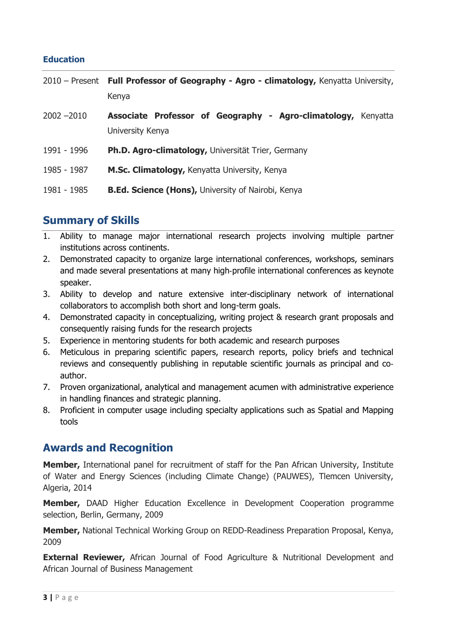### **Education**

|               | 2010 – Present Full Professor of Geography - Agro - climatology, Kenyatta University,<br>Kenya |
|---------------|------------------------------------------------------------------------------------------------|
| $2002 - 2010$ | Associate Professor of Geography - Agro-climatology, Kenyatta<br>University Kenya              |
| 1991 - 1996   | Ph.D. Agro-climatology, Universität Trier, Germany                                             |
| 1985 - 1987   | M.Sc. Climatology, Kenyatta University, Kenya                                                  |
| 1981 - 1985   | <b>B.Ed. Science (Hons), University of Nairobi, Kenya</b>                                      |

## **Summary of Skills**

- 1. Ability to manage major international research projects involving multiple partner institutions across continents.
- 2. Demonstrated capacity to organize large international conferences, workshops, seminars and made several presentations at many high‐profile international conferences as keynote speaker.
- 3. Ability to develop and nature extensive inter-disciplinary network of international collaborators to accomplish both short and long-term goals.
- 4. Demonstrated capacity in conceptualizing, writing project & research grant proposals and consequently raising funds for the research projects
- 5. Experience in mentoring students for both academic and research purposes
- 6. Meticulous in preparing scientific papers, research reports, policy briefs and technical reviews and consequently publishing in reputable scientific journals as principal and co‐ author.
- 7. Proven organizational, analytical and management acumen with administrative experience in handling finances and strategic planning.
- 8. Proficient in computer usage including specialty applications such as Spatial and Mapping tools

## **Awards and Recognition**

**Member,** International panel for recruitment of staff for the Pan African University, Institute of Water and Energy Sciences (including Climate Change) (PAUWES), Tlemcen University, Algeria, 2014

**Member,** DAAD Higher Education Excellence in Development Cooperation programme selection, Berlin, Germany, 2009

**Member,** National Technical Working Group on REDD-Readiness Preparation Proposal, Kenya, 2009

**External Reviewer,** African Journal of Food Agriculture & Nutritional Development and African Journal of Business Management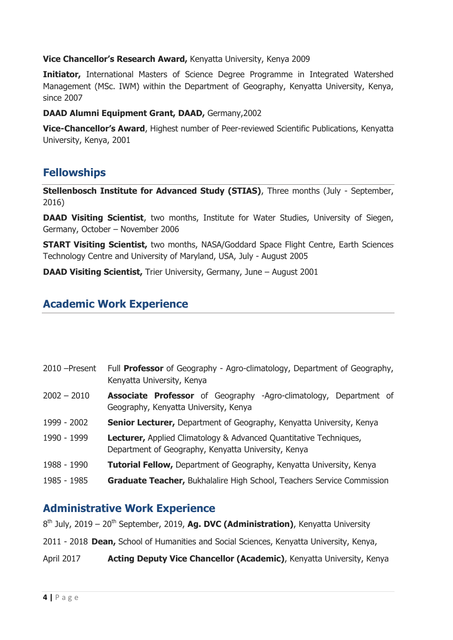### **Vice Chancellor's Research Award,** Kenyatta University, Kenya 2009

**Initiator,** International Masters of Science Degree Programme in Integrated Watershed Management (MSc. IWM) within the Department of Geography, Kenyatta University, Kenya, since 2007

### **DAAD Alumni Equipment Grant, DAAD,** Germany,2002

**Vice-Chancellor's Award**, Highest number of Peer-reviewed Scientific Publications, Kenyatta University, Kenya, 2001

## **Fellowships**

**Stellenbosch Institute for Advanced Study (STIAS)**, Three months (July - September, 2016)

**DAAD Visiting Scientist**, two months, Institute for Water Studies, University of Siegen, Germany, October – November 2006

**START Visiting Scientist, two months, NASA/Goddard Space Flight Centre, Earth Sciences** Technology Centre and University of Maryland, USA, July - August 2005

**DAAD Visiting Scientist, Trier University, Germany, June – August 2001** 

## **Academic Work Experience**

| 2010 - Present | Full <b>Professor</b> of Geography - Agro-climatology, Department of Geography,<br>Kenyatta University, Kenya            |
|----------------|--------------------------------------------------------------------------------------------------------------------------|
| $2002 - 2010$  | <b>Associate Professor</b> of Geography -Agro-climatology, Department of<br>Geography, Kenyatta University, Kenya        |
| 1999 - 2002    | Senior Lecturer, Department of Geography, Kenyatta University, Kenya                                                     |
| 1990 - 1999    | Lecturer, Applied Climatology & Advanced Quantitative Techniques,<br>Department of Geography, Kenyatta University, Kenya |
| 1988 - 1990    | <b>Tutorial Fellow, Department of Geography, Kenyatta University, Kenya</b>                                              |
| 1985 - 1985    | Graduate Teacher, Bukhalalire High School, Teachers Service Commission                                                   |

### **Administrative Work Experience**

8<sup>th</sup> July, 2019 – 20<sup>th</sup> September, 2019, Ag. DVC (Administration), Kenyatta University

2011 - 2018 **Dean,** School of Humanities and Social Sciences, Kenyatta University, Kenya,

April 2017 **Acting Deputy Vice Chancellor (Academic)**, Kenyatta University, Kenya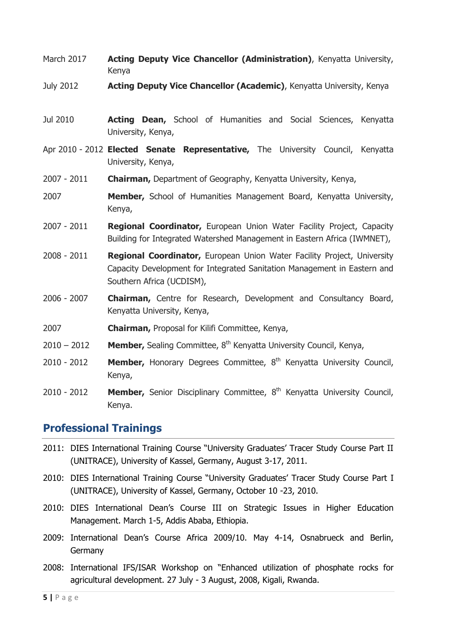- March 2017 **Acting Deputy Vice Chancellor (Administration)**, Kenyatta University, Kenya
- July 2012 **Acting Deputy Vice Chancellor (Academic)**, Kenyatta University, Kenya
- Jul 2010 **Acting Dean,** School of Humanities and Social Sciences, Kenyatta University, Kenya,
- Apr 2010 2012 **Elected Senate Representative,** The University Council, Kenyatta University, Kenya,
- 2007 2011 **Chairman,** Department of Geography, Kenyatta University, Kenya,
- 2007 **Member,** School of Humanities Management Board, Kenyatta University, Kenya,
- 2007 2011 **Regional Coordinator,** European Union Water Facility Project, Capacity Building for Integrated Watershed Management in Eastern Africa (IWMNET),
- 2008 2011 **Regional Coordinator,** European Union Water Facility Project, University Capacity Development for Integrated Sanitation Management in Eastern and Southern Africa (UCDISM),
- 2006 2007 **Chairman,** Centre for Research, Development and Consultancy Board, Kenyatta University, Kenya,
- 2007 **Chairman,** Proposal for Kilifi Committee, Kenya,
- 2010 2012 **Member,** Sealing Committee, 8<sup>th</sup> Kenyatta University Council, Kenya,
- 2010 2012 **Member,** Honorary Degrees Committee, 8<sup>th</sup> Kenyatta University Council, Kenya,
- 2010 2012 **Member,** Senior Disciplinary Committee, 8<sup>th</sup> Kenyatta University Council, Kenya.

### **Professional Trainings**

- 2011: DIES International Training Course "University Graduates' Tracer Study Course Part II (UNITRACE), University of Kassel, Germany, August 3-17, 2011.
- 2010: DIES International Training Course "University Graduates' Tracer Study Course Part I (UNITRACE), University of Kassel, Germany, October 10 -23, 2010.
- 2010: DIES International Dean's Course III on Strategic Issues in Higher Education Management. March 1-5, Addis Ababa, Ethiopia.
- 2009: International Dean's Course Africa 2009/10. May 4-14, Osnabrueck and Berlin, Germany
- 2008: International IFS/ISAR Workshop on "Enhanced utilization of phosphate rocks for agricultural development. 27 July - 3 August, 2008, Kigali, Rwanda.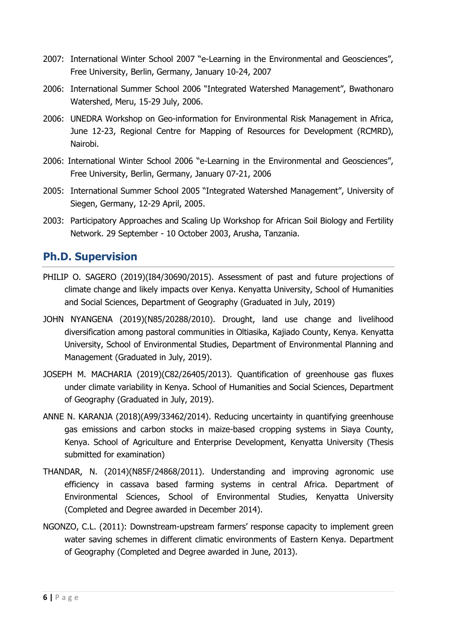- 2007: International Winter School 2007 "e-Learning in the Environmental and Geosciences", Free University, Berlin, Germany, January 10-24, 2007
- 2006: International Summer School 2006 "Integrated Watershed Management", Bwathonaro Watershed, Meru, 15-29 July, 2006.
- 2006: UNEDRA Workshop on Geo-information for Environmental Risk Management in Africa, June 12-23, Regional Centre for Mapping of Resources for Development (RCMRD), Nairobi.
- 2006: International Winter School 2006 "e-Learning in the Environmental and Geosciences", Free University, Berlin, Germany, January 07-21, 2006
- 2005: International Summer School 2005 "Integrated Watershed Management", University of Siegen, Germany, 12-29 April, 2005.
- 2003: Participatory Approaches and Scaling Up Workshop for African Soil Biology and Fertility Network. 29 September - 10 October 2003, Arusha, Tanzania.

## **Ph.D. Supervision**

- PHILIP O. SAGERO (2019)(I84/30690/2015). Assessment of past and future projections of climate change and likely impacts over Kenya. Kenyatta University, School of Humanities and Social Sciences, Department of Geography (Graduated in July, 2019)
- JOHN NYANGENA (2019)(N85/20288/2010). Drought, land use change and livelihood diversification among pastoral communities in Oltiasika, Kajiado County, Kenya. Kenyatta University, School of Environmental Studies, Department of Environmental Planning and Management (Graduated in July, 2019).
- JOSEPH M. MACHARIA (2019)(C82/26405/2013). Quantification of greenhouse gas fluxes under climate variability in Kenya. School of Humanities and Social Sciences, Department of Geography (Graduated in July, 2019).
- ANNE N. KARANJA (2018)(A99/33462/2014). Reducing uncertainty in quantifying greenhouse gas emissions and carbon stocks in maize-based cropping systems in Siaya County, Kenya. School of Agriculture and Enterprise Development, Kenyatta University (Thesis submitted for examination)
- THANDAR, N. (2014)(N85F/24868/2011). Understanding and improving agronomic use efficiency in cassava based farming systems in central Africa. Department of Environmental Sciences, School of Environmental Studies, Kenyatta University (Completed and Degree awarded in December 2014).
- NGONZO, C.L. (2011): Downstream-upstream farmers' response capacity to implement green water saving schemes in different climatic environments of Eastern Kenya. Department of Geography (Completed and Degree awarded in June, 2013).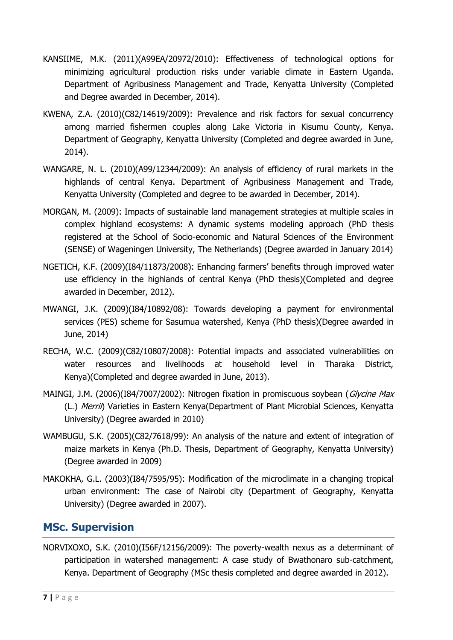- KANSIIME, M.K. (2011)(A99EA/20972/2010): Effectiveness of technological options for minimizing agricultural production risks under variable climate in Eastern Uganda. Department of Agribusiness Management and Trade, Kenyatta University (Completed and Degree awarded in December, 2014).
- KWENA, Z.A. (2010)(C82/14619/2009): Prevalence and risk factors for sexual concurrency among married fishermen couples along Lake Victoria in Kisumu County, Kenya. Department of Geography, Kenyatta University (Completed and degree awarded in June, 2014).
- WANGARE, N. L. (2010)(A99/12344/2009): An analysis of efficiency of rural markets in the highlands of central Kenya. Department of Agribusiness Management and Trade, Kenyatta University (Completed and degree to be awarded in December, 2014).
- MORGAN, M. (2009): Impacts of sustainable land management strategies at multiple scales in complex highland ecosystems: A dynamic systems modeling approach (PhD thesis registered at the School of Socio-economic and Natural Sciences of the Environment (SENSE) of Wageningen University, The Netherlands) (Degree awarded in January 2014)
- NGETICH, K.F. (2009)(I84/11873/2008): Enhancing farmers' benefits through improved water use efficiency in the highlands of central Kenya (PhD thesis)(Completed and degree awarded in December, 2012).
- MWANGI, J.K. (2009)(I84/10892/08): Towards developing a payment for environmental services (PES) scheme for Sasumua watershed, Kenya (PhD thesis)(Degree awarded in June, 2014)
- RECHA, W.C. (2009)(C82/10807/2008): Potential impacts and associated vulnerabilities on water resources and livelihoods at household level in Tharaka District, Kenya)(Completed and degree awarded in June, 2013).
- MAINGI, J.M. (2006)(I84/7007/2002): Nitrogen fixation in promiscuous soybean (Glycine Max (L.) Merril) Varieties in Eastern Kenya(Department of Plant Microbial Sciences, Kenyatta University) (Degree awarded in 2010)
- WAMBUGU, S.K. (2005)(C82/7618/99): An analysis of the nature and extent of integration of maize markets in Kenya (Ph.D. Thesis, Department of Geography, Kenyatta University) (Degree awarded in 2009)
- MAKOKHA, G.L. (2003)(I84/7595/95): Modification of the microclimate in a changing tropical urban environment: The case of Nairobi city (Department of Geography, Kenyatta University) (Degree awarded in 2007).

# **MSc. Supervision**

NORVIXOXO, S.K. (2010)(I56F/12156/2009): The poverty-wealth nexus as a determinant of participation in watershed management: A case study of Bwathonaro sub-catchment, Kenya. Department of Geography (MSc thesis completed and degree awarded in 2012).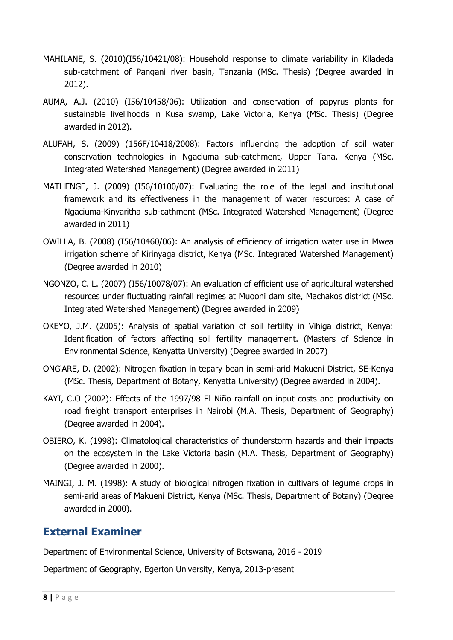- MAHILANE, S. (2010)(I56/10421/08): Household response to climate variability in Kiladeda sub-catchment of Pangani river basin, Tanzania (MSc. Thesis) (Degree awarded in 2012).
- AUMA, A.J. (2010) (I56/10458/06): Utilization and conservation of papyrus plants for sustainable livelihoods in Kusa swamp, Lake Victoria, Kenya (MSc. Thesis) (Degree awarded in 2012).
- ALUFAH, S. (2009) (156F/10418/2008): Factors influencing the adoption of soil water conservation technologies in Ngaciuma sub-catchment, Upper Tana, Kenya (MSc. Integrated Watershed Management) (Degree awarded in 2011)
- MATHENGE, J. (2009) (I56/10100/07): Evaluating the role of the legal and institutional framework and its effectiveness in the management of water resources: A case of Ngaciuma-Kinyaritha sub-cathment (MSc. Integrated Watershed Management) (Degree awarded in 2011)
- OWILLA, B. (2008) (I56/10460/06): An analysis of efficiency of irrigation water use in Mwea irrigation scheme of Kirinyaga district, Kenya (MSc. Integrated Watershed Management) (Degree awarded in 2010)
- NGONZO, C. L. (2007) (I56/10078/07): An evaluation of efficient use of agricultural watershed resources under fluctuating rainfall regimes at Muooni dam site, Machakos district (MSc. Integrated Watershed Management) (Degree awarded in 2009)
- OKEYO, J.M. (2005): Analysis of spatial variation of soil fertility in Vihiga district, Kenya: Identification of factors affecting soil fertility management. (Masters of Science in Environmental Science, Kenyatta University) (Degree awarded in 2007)
- ONG'ARE, D. (2002): Nitrogen fixation in tepary bean in semi-arid Makueni District, SE-Kenya (MSc. Thesis, Department of Botany, Kenyatta University) (Degree awarded in 2004).
- KAYI, C.O (2002): Effects of the 1997/98 El Niño rainfall on input costs and productivity on road freight transport enterprises in Nairobi (M.A. Thesis, Department of Geography) (Degree awarded in 2004).
- OBIERO, K. (1998): Climatological characteristics of thunderstorm hazards and their impacts on the ecosystem in the Lake Victoria basin (M.A. Thesis, Department of Geography) (Degree awarded in 2000).
- MAINGI, J. M. (1998): A study of biological nitrogen fixation in cultivars of legume crops in semi-arid areas of Makueni District, Kenya (MSc. Thesis, Department of Botany) (Degree awarded in 2000).

## **External Examiner**

Department of Environmental Science, University of Botswana, 2016 - 2019

Department of Geography, Egerton University, Kenya, 2013-present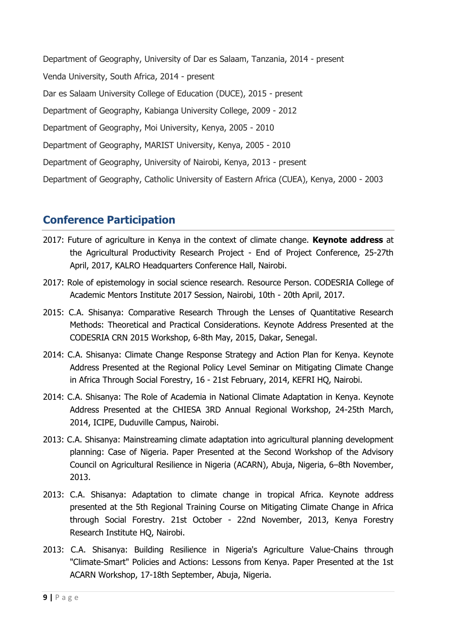Department of Geography, University of Dar es Salaam, Tanzania, 2014 - present Venda University, South Africa, 2014 - present Dar es Salaam University College of Education (DUCE), 2015 - present Department of Geography, Kabianga University College, 2009 - 2012 Department of Geography, Moi University, Kenya, 2005 - 2010 Department of Geography, MARIST University, Kenya, 2005 - 2010 Department of Geography, University of Nairobi, Kenya, 2013 - present Department of Geography, Catholic University of Eastern Africa (CUEA), Kenya, 2000 - 2003

# **Conference Participation**

- 2017: Future of agriculture in Kenya in the context of climate change. **Keynote address** at the Agricultural Productivity Research Project - End of Project Conference, 25-27th April, 2017, KALRO Headquarters Conference Hall, Nairobi.
- 2017: Role of epistemology in social science research. Resource Person. CODESRIA College of Academic Mentors Institute 2017 Session, Nairobi, 10th - 20th April, 2017.
- 2015: C.A. Shisanya: Comparative Research Through the Lenses of Quantitative Research Methods: Theoretical and Practical Considerations. Keynote Address Presented at the CODESRIA CRN 2015 Workshop, 6-8th May, 2015, Dakar, Senegal.
- 2014: C.A. Shisanya: Climate Change Response Strategy and Action Plan for Kenya. Keynote Address Presented at the Regional Policy Level Seminar on Mitigating Climate Change in Africa Through Social Forestry, 16 - 21st February, 2014, KEFRI HQ, Nairobi.
- 2014: C.A. Shisanya: The Role of Academia in National Climate Adaptation in Kenya. Keynote Address Presented at the CHIESA 3RD Annual Regional Workshop, 24-25th March, 2014, ICIPE, Duduville Campus, Nairobi.
- 2013: C.A. Shisanya: Mainstreaming climate adaptation into agricultural planning development planning: Case of Nigeria. Paper Presented at the Second Workshop of the Advisory Council on Agricultural Resilience in Nigeria (ACARN), Abuja, Nigeria, 6–8th November, 2013.
- 2013: C.A. Shisanya: Adaptation to climate change in tropical Africa. Keynote address presented at the 5th Regional Training Course on Mitigating Climate Change in Africa through Social Forestry. 21st October - 22nd November, 2013, Kenya Forestry Research Institute HQ, Nairobi.
- 2013: C.A. Shisanya: Building Resilience in Nigeria's Agriculture Value-Chains through "Climate-Smart" Policies and Actions: Lessons from Kenya. Paper Presented at the 1st ACARN Workshop, 17-18th September, Abuja, Nigeria.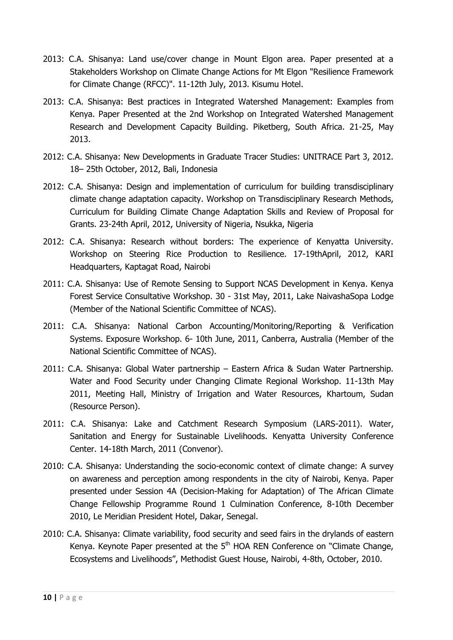- 2013: C.A. Shisanya: Land use/cover change in Mount Elgon area. Paper presented at a Stakeholders Workshop on Climate Change Actions for Mt Elgon "Resilience Framework for Climate Change (RFCC)". 11-12th July, 2013. Kisumu Hotel.
- 2013: C.A. Shisanya: Best practices in Integrated Watershed Management: Examples from Kenya. Paper Presented at the 2nd Workshop on Integrated Watershed Management Research and Development Capacity Building. Piketberg, South Africa. 21-25, May 2013.
- 2012: C.A. Shisanya: New Developments in Graduate Tracer Studies: UNITRACE Part 3, 2012. 18– 25th October, 2012, Bali, Indonesia
- 2012: C.A. Shisanya: Design and implementation of curriculum for building transdisciplinary climate change adaptation capacity. Workshop on Transdisciplinary Research Methods, Curriculum for Building Climate Change Adaptation Skills and Review of Proposal for Grants. 23-24th April, 2012, University of Nigeria, Nsukka, Nigeria
- 2012: C.A. Shisanya: Research without borders: The experience of Kenyatta University. Workshop on Steering Rice Production to Resilience. 17-19thApril, 2012, KARI Headquarters, Kaptagat Road, Nairobi
- 2011: C.A. Shisanya: Use of Remote Sensing to Support NCAS Development in Kenya. Kenya Forest Service Consultative Workshop. 30 - 31st May, 2011, Lake NaivashaSopa Lodge (Member of the National Scientific Committee of NCAS).
- 2011: C.A. Shisanya: National Carbon Accounting/Monitoring/Reporting & Verification Systems. Exposure Workshop. 6- 10th June, 2011, Canberra, Australia (Member of the National Scientific Committee of NCAS).
- 2011: C.A. Shisanya: Global Water partnership Eastern Africa & Sudan Water Partnership. Water and Food Security under Changing Climate Regional Workshop. 11-13th May 2011, Meeting Hall, Ministry of Irrigation and Water Resources, Khartoum, Sudan (Resource Person).
- 2011: C.A. Shisanya: Lake and Catchment Research Symposium (LARS-2011). Water, Sanitation and Energy for Sustainable Livelihoods. Kenyatta University Conference Center. 14-18th March, 2011 (Convenor).
- 2010: C.A. Shisanya: Understanding the socio-economic context of climate change: A survey on awareness and perception among respondents in the city of Nairobi, Kenya. Paper presented under Session 4A (Decision-Making for Adaptation) of The African Climate Change Fellowship Programme Round 1 Culmination Conference, 8-10th December 2010, Le Meridian President Hotel, Dakar, Senegal.
- 2010: C.A. Shisanya: Climate variability, food security and seed fairs in the drylands of eastern Kenya. Keynote Paper presented at the  $5<sup>th</sup>$  HOA REN Conference on "Climate Change, Ecosystems and Livelihoods", Methodist Guest House, Nairobi, 4-8th, October, 2010.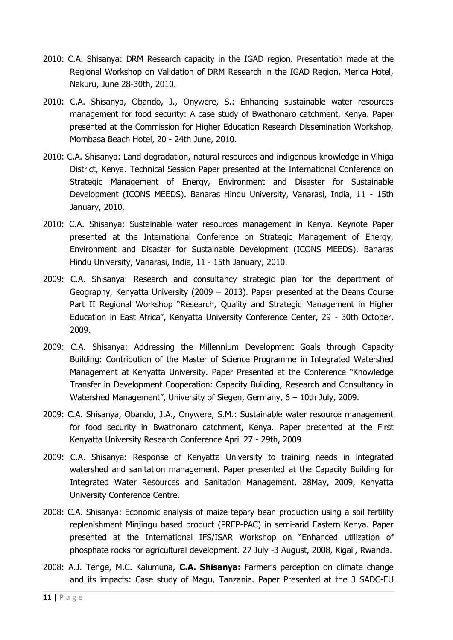- 2010: C.A. Shisanya: DRM Research capacity in the IGAD region. Presentation made at the Regional Workshop on Validation of DRM Research in the IGAD Region, Merica Hotel, Nakuru, June 28-30th, 2010.
- 2010: C.A. Shisanya, Obando, J., Onywere, S.: Enhancing sustainable water resources management for food security: A case study of Bwathonaro catchment, Kenya. Paper presented at the Commission for Higher Education Research Dissemination Workshop, Mombasa Beach Hotel, 20 - 24th June, 2010.
- 2010: C.A. Shisanya: Land degradation, natural resources and indigenous knowledge in Vihiga District, Kenya. Technical Session Paper presented at the International Conference on Strategic Management of Energy, Environment and Disaster for Sustainable Development (ICONS MEEDS). Banaras Hindu University, Vanarasi, India, 11 - 15th January, 2010.
- 2010: C.A. Shisanya: Sustainable water resources management in Kenya. Keynote Paper presented at the International Conference on Strategic Management of Energy, Environment and Disaster for Sustainable Development (ICONS MEEDS). Banaras Hindu University, Vanarasi, India, 11 - 15th January, 2010.
- 2009: C.A. Shisanya: Research and consultancy strategic plan for the department of Geography, Kenyatta University (2009 – 2013). Paper presented at the Deans Course Part II Regional Workshop "Research, Quality and Strategic Management in Higher Education in East Africa", Kenyatta University Conference Center, 29 - 30th October, 2009.
- 2009: C.A. Shisanya: Addressing the Millennium Development Goals through Capacity Building: Contribution of the Master of Science Programme in Integrated Watershed Management at Kenyatta University. Paper Presented at the Conference "Knowledge Transfer in Development Cooperation: Capacity Building, Research and Consultancy in Watershed Management", University of Siegen, Germany, 6 – 10th July, 2009.
- 2009: C.A. Shisanya, Obando, J.A., Onywere, S.M.: Sustainable water resource management for food security in Bwathonaro catchment, Kenya. Paper presented at the First Kenyatta University Research Conference April 27 - 29th, 2009
- 2009: C.A. Shisanya: Response of Kenyatta University to training needs in integrated watershed and sanitation management. Paper presented at the Capacity Building for Integrated Water Resources and Sanitation Management, 28May, 2009, Kenyatta University Conference Centre.
- 2008: C.A. Shisanya: Economic analysis of maize tepary bean production using a soil fertility replenishment Minjingu based product (PREP-PAC) in semi-arid Eastern Kenya. Paper presented at the International IFS/ISAR Workshop on "Enhanced utilization of phosphate rocks for agricultural development. 27 July -3 August, 2008, Kigali, Rwanda.
- 2008: A.J. Tenge, M.C. Kalumuna, **C.A. Shisanya:** Farmer's perception on climate change and its impacts: Case study of Magu, Tanzania. Paper Presented at the 3 SADC-EU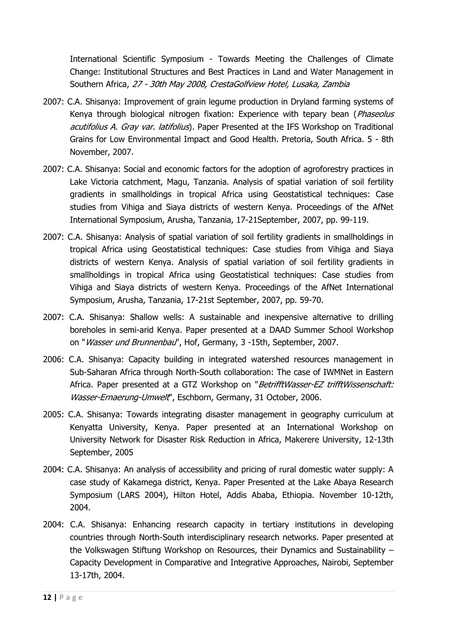International Scientific Symposium - Towards Meeting the Challenges of Climate Change: Institutional Structures and Best Practices in Land and Water Management in Southern Africa, 27 - 30th May 2008, CrestaGolfview Hotel, Lusaka, Zambia

- 2007: C.A. Shisanya: Improvement of grain legume production in Dryland farming systems of Kenya through biological nitrogen fixation: Experience with tepary bean (Phaseolus acutifolius A. Gray var. latifolius). Paper Presented at the IFS Workshop on Traditional Grains for Low Environmental Impact and Good Health. Pretoria, South Africa. 5 - 8th November, 2007.
- 2007: C.A. Shisanya: Social and economic factors for the adoption of agroforestry practices in Lake Victoria catchment, Magu, Tanzania. Analysis of spatial variation of soil fertility gradients in smallholdings in tropical Africa using Geostatistical techniques: Case studies from Vihiga and Siaya districts of western Kenya. Proceedings of the AfNet International Symposium, Arusha, Tanzania, 17-21September, 2007, pp. 99-119.
- 2007: C.A. Shisanya: Analysis of spatial variation of soil fertility gradients in smallholdings in tropical Africa using Geostatistical techniques: Case studies from Vihiga and Siaya districts of western Kenya. Analysis of spatial variation of soil fertility gradients in smallholdings in tropical Africa using Geostatistical techniques: Case studies from Vihiga and Siaya districts of western Kenya. Proceedings of the AfNet International Symposium, Arusha, Tanzania, 17-21st September, 2007, pp. 59-70.
- 2007: C.A. Shisanya: Shallow wells: A sustainable and inexpensive alternative to drilling boreholes in semi-arid Kenya. Paper presented at a DAAD Summer School Workshop on "Wasser und Brunnenbau", Hof, Germany, 3 -15th, September, 2007.
- 2006: C.A. Shisanya: Capacity building in integrated watershed resources management in Sub-Saharan Africa through North-South collaboration: The case of IWMNet in Eastern Africa. Paper presented at a GTZ Workshop on "BetrifftWasser-EZ trifftWissenschaft: Wasser-Ernaerung-Umwelt", Eschborn, Germany, 31 October, 2006.
- 2005: C.A. Shisanya: Towards integrating disaster management in geography curriculum at Kenyatta University, Kenya. Paper presented at an International Workshop on University Network for Disaster Risk Reduction in Africa, Makerere University, 12-13th September, 2005
- 2004: C.A. Shisanya: An analysis of accessibility and pricing of rural domestic water supply: A case study of Kakamega district, Kenya. Paper Presented at the Lake Abaya Research Symposium (LARS 2004), Hilton Hotel, Addis Ababa, Ethiopia. November 10-12th, 2004.
- 2004: C.A. Shisanya: Enhancing research capacity in tertiary institutions in developing countries through North-South interdisciplinary research networks. Paper presented at the Volkswagen Stiftung Workshop on Resources, their Dynamics and Sustainability – Capacity Development in Comparative and Integrative Approaches, Nairobi, September 13-17th, 2004.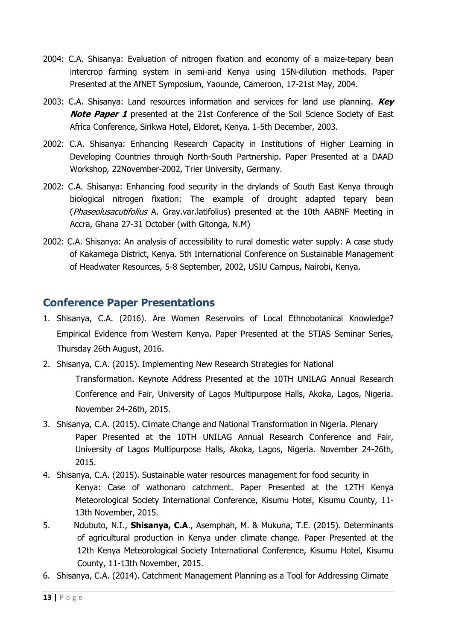- 2004: C.A. Shisanya: Evaluation of nitrogen fixation and economy of a maize-tepary bean intercrop farming system in semi-arid Kenya using 15N-dilution methods. Paper Presented at the AfNET Symposium, Yaounde, Cameroon, 17-21st May, 2004.
- 2003: C.A. Shisanya: Land resources information and services for land use planning. **Key Note Paper 1** presented at the 21st Conference of the Soil Science Society of East Africa Conference, Sirikwa Hotel, Eldoret, Kenya. 1-5th December, 2003.
- 2002: C.A. Shisanya: Enhancing Research Capacity in Institutions of Higher Learning in Developing Countries through North-South Partnership. Paper Presented at a DAAD Workshop, 22November-2002, Trier University, Germany.
- 2002: C.A. Shisanya: Enhancing food security in the drylands of South East Kenya through biological nitrogen fixation: The example of drought adapted tepary bean (Phaseolusacutifolius A. Gray.var.latifolius) presented at the 10th AABNF Meeting in Accra, Ghana 27-31 October (with Gitonga, N.M)
- 2002: C.A. Shisanya: An analysis of accessibility to rural domestic water supply: A case study of Kakamega District, Kenya. 5th International Conference on Sustainable Management of Headwater Resources, 5-8 September, 2002, USIU Campus, Nairobi, Kenya.

# **Conference Paper Presentations**

- 1. Shisanya, C.A. (2016). Are Women Reservoirs of Local Ethnobotanical Knowledge? Empirical Evidence from Western Kenya. Paper Presented at the STIAS Seminar Series, Thursday 26th August, 2016.
- 2. Shisanya, C.A. (2015). Implementing New Research Strategies for National Transformation. Keynote Address Presented at the 10TH UNILAG Annual Research Conference and Fair, University of Lagos Multipurpose Halls, Akoka, Lagos, Nigeria. November 24-26th, 2015.
- 3. Shisanya, C.A. (2015). Climate Change and National Transformation in Nigeria. Plenary Paper Presented at the 10TH UNILAG Annual Research Conference and Fair, University of Lagos Multipurpose Halls, Akoka, Lagos, Nigeria. November 24-26th, 2015.
- 4. Shisanya, C.A. (2015). Sustainable water resources management for food security in Kenya: Case of wathonaro catchment. Paper Presented at the 12TH Kenya Meteorological Society International Conference, Kisumu Hotel, Kisumu County, 11- 13th November, 2015.
- 5. Ndubuto, N.I., **Shisanya, C.A**., Asemphah, M. & Mukuna, T.E. (2015). Determinants of agricultural production in Kenya under climate change. Paper Presented at the 12th Kenya Meteorological Society International Conference, Kisumu Hotel, Kisumu County, 11-13th November, 2015.
- 6. Shisanya, C.A. (2014). Catchment Management Planning as a Tool for Addressing Climate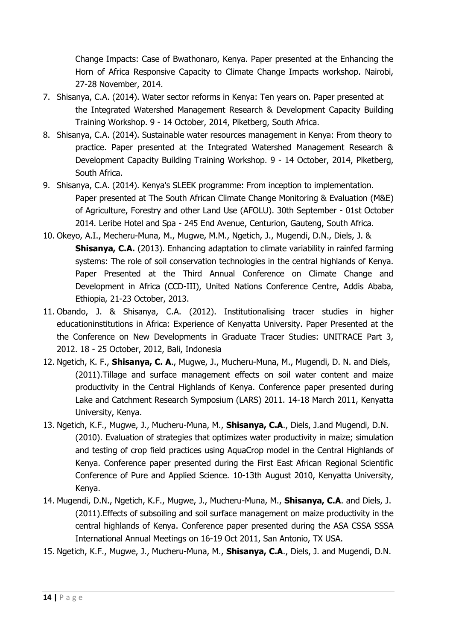Change Impacts: Case of Bwathonaro, Kenya. Paper presented at the Enhancing the Horn of Africa Responsive Capacity to Climate Change Impacts workshop. Nairobi, 27-28 November, 2014.

- 7. Shisanya, C.A. (2014). Water sector reforms in Kenya: Ten years on. Paper presented at the Integrated Watershed Management Research & Development Capacity Building Training Workshop. 9 - 14 October, 2014, Piketberg, South Africa.
- 8. Shisanya, C.A. (2014). Sustainable water resources management in Kenya: From theory to practice. Paper presented at the Integrated Watershed Management Research & Development Capacity Building Training Workshop. 9 - 14 October, 2014, Piketberg, South Africa.
- 9. Shisanya, C.A. (2014). Kenya's SLEEK programme: From inception to implementation. Paper presented at The South African Climate Change Monitoring & Evaluation (M&E) of Agriculture, Forestry and other Land Use (AFOLU). 30th September - 01st October 2014. Leribe Hotel and Spa - 245 End Avenue, Centurion, Gauteng, South Africa.
- 10. Okeyo, A.I., Mecheru-Muna, M., Mugwe, M.M., Ngetich, J., Mugendi, D.N., Diels, J. & **Shisanya, C.A.** (2013). Enhancing adaptation to climate variability in rainfed farming systems: The role of soil conservation technologies in the central highlands of Kenya. Paper Presented at the Third Annual Conference on Climate Change and Development in Africa (CCD-III), United Nations Conference Centre, Addis Ababa, Ethiopia, 21-23 October, 2013.
- 11. Obando, J. & Shisanya, C.A. (2012). Institutionalising tracer studies in higher educationinstitutions in Africa: Experience of Kenyatta University. Paper Presented at the the Conference on New Developments in Graduate Tracer Studies: UNITRACE Part 3, 2012. 18 - 25 October, 2012, Bali, Indonesia
- 12. Ngetich, K. F., **Shisanya, C. A**., Mugwe, J., Mucheru-Muna, M., Mugendi, D. N. and Diels, (2011).Tillage and surface management effects on soil water content and maize productivity in the Central Highlands of Kenya. Conference paper presented during Lake and Catchment Research Symposium (LARS) 2011. 14-18 March 2011, Kenyatta University, Kenya.
- 13. Ngetich, K.F., Mugwe, J., Mucheru-Muna, M., **Shisanya, C.A**., Diels, J.and Mugendi, D.N. (2010). Evaluation of strategies that optimizes water productivity in maize; simulation and testing of crop field practices using AquaCrop model in the Central Highlands of Kenya. Conference paper presented during the First East African Regional Scientific Conference of Pure and Applied Science. 10-13th August 2010, Kenyatta University, Kenya.
- 14. Mugendi, D.N., Ngetich, K.F., Mugwe, J., Mucheru-Muna, M., **Shisanya, C.A**. and Diels, J. (2011).Effects of subsoiling and soil surface management on maize productivity in the central highlands of Kenya. Conference paper presented during the ASA CSSA SSSA International Annual Meetings on 16-19 Oct 2011, San Antonio, TX USA.
- 15. Ngetich, K.F., Mugwe, J., Mucheru-Muna, M., **Shisanya, C.A**., Diels, J. and Mugendi, D.N.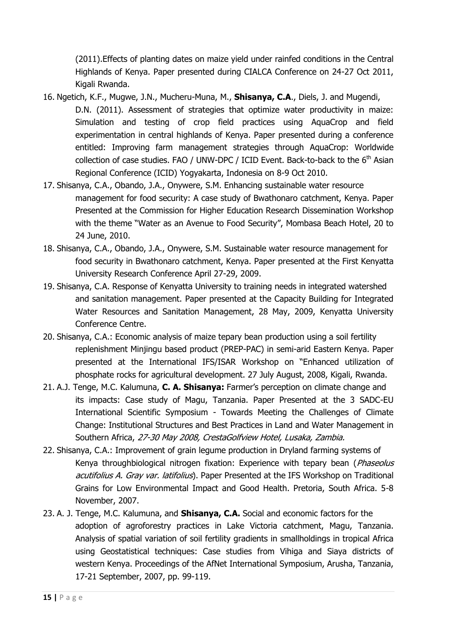(2011).Effects of planting dates on maize yield under rainfed conditions in the Central Highlands of Kenya. Paper presented during CIALCA Conference on 24-27 Oct 2011, Kigali Rwanda.

- 16. Ngetich, K.F., Mugwe, J.N., Mucheru-Muna, M., **Shisanya, C.A**., Diels, J. and Mugendi, D.N. (2011). Assessment of strategies that optimize water productivity in maize: Simulation and testing of crop field practices using AquaCrop and field experimentation in central highlands of Kenya. Paper presented during a conference entitled: Improving farm management strategies through AquaCrop: Worldwide collection of case studies. FAO / UNW-DPC / ICID Event. Back-to-back to the  $6<sup>th</sup>$  Asian Regional Conference (ICID) Yogyakarta, Indonesia on 8-9 Oct 2010.
- 17. Shisanya, C.A., Obando, J.A., Onywere, S.M. Enhancing sustainable water resource management for food security: A case study of Bwathonaro catchment, Kenya. Paper Presented at the Commission for Higher Education Research Dissemination Workshop with the theme "Water as an Avenue to Food Security", Mombasa Beach Hotel, 20 to 24 June, 2010.
- 18. Shisanya, C.A., Obando, J.A., Onywere, S.M. Sustainable water resource management for food security in Bwathonaro catchment, Kenya. Paper presented at the First Kenyatta University Research Conference April 27-29, 2009.
- 19. Shisanya, C.A. Response of Kenyatta University to training needs in integrated watershed and sanitation management. Paper presented at the Capacity Building for Integrated Water Resources and Sanitation Management, 28 May, 2009, Kenyatta University Conference Centre.
- 20. Shisanya, C.A.: Economic analysis of maize tepary bean production using a soil fertility replenishment Minjingu based product (PREP-PAC) in semi-arid Eastern Kenya. Paper presented at the International IFS/ISAR Workshop on "Enhanced utilization of phosphate rocks for agricultural development. 27 July August, 2008, Kigali, Rwanda.
- 21. A.J. Tenge, M.C. Kalumuna, **C. A. Shisanya:** Farmer's perception on climate change and its impacts: Case study of Magu, Tanzania. Paper Presented at the 3 SADC-EU International Scientific Symposium - Towards Meeting the Challenges of Climate Change: Institutional Structures and Best Practices in Land and Water Management in Southern Africa, 27-30 May 2008, CrestaGolfview Hotel, Lusaka, Zambia.
- 22. Shisanya, C.A.: Improvement of grain legume production in Dryland farming systems of Kenya throughbiological nitrogen fixation: Experience with tepary bean (Phaseolus acutifolius A. Gray var. latifolius). Paper Presented at the IFS Workshop on Traditional Grains for Low Environmental Impact and Good Health. Pretoria, South Africa. 5-8 November, 2007.
- 23. A. J. Tenge, M.C. Kalumuna, and **Shisanya, C.A.** Social and economic factors for the adoption of agroforestry practices in Lake Victoria catchment, Magu, Tanzania. Analysis of spatial variation of soil fertility gradients in smallholdings in tropical Africa using Geostatistical techniques: Case studies from Vihiga and Siaya districts of western Kenya. Proceedings of the AfNet International Symposium, Arusha, Tanzania, 17-21 September, 2007, pp. 99-119.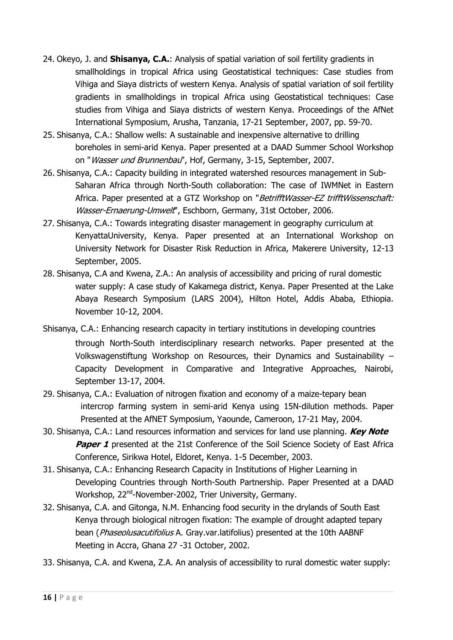- 24. Okeyo, J. and **Shisanya, C.A.**: Analysis of spatial variation of soil fertility gradients in smallholdings in tropical Africa using Geostatistical techniques: Case studies from Vihiga and Siaya districts of western Kenya. Analysis of spatial variation of soil fertility gradients in smallholdings in tropical Africa using Geostatistical techniques: Case studies from Vihiga and Siaya districts of western Kenya. Proceedings of the AfNet International Symposium, Arusha, Tanzania, 17-21 September, 2007, pp. 59-70.
- 25. Shisanya, C.A.: Shallow wells: A sustainable and inexpensive alternative to drilling boreholes in semi-arid Kenya. Paper presented at a DAAD Summer School Workshop on "Wasser und Brunnenbau", Hof, Germany, 3-15, September, 2007.
- 26. Shisanya, C.A.: Capacity building in integrated watershed resources management in Sub-Saharan Africa through North-South collaboration: The case of IWMNet in Eastern Africa. Paper presented at a GTZ Workshop on "BetrifftWasser-EZ trifftWissenschaft: Wasser-Ernaerung-Umwelt", Eschborn, Germany, 31st October, 2006.
- 27. Shisanya, C.A.: Towards integrating disaster management in geography curriculum at KenyattaUniversity, Kenya. Paper presented at an International Workshop on University Network for Disaster Risk Reduction in Africa, Makerere University, 12-13 September, 2005.
- 28. Shisanya, C.A and Kwena, Z.A.: An analysis of accessibility and pricing of rural domestic water supply: A case study of Kakamega district, Kenya. Paper Presented at the Lake Abaya Research Symposium (LARS 2004), Hilton Hotel, Addis Ababa, Ethiopia. November 10-12, 2004.
- Shisanya, C.A.: Enhancing research capacity in tertiary institutions in developing countries through North-South interdisciplinary research networks. Paper presented at the Volkswagenstiftung Workshop on Resources, their Dynamics and Sustainability – Capacity Development in Comparative and Integrative Approaches, Nairobi, September 13-17, 2004.
- 29. Shisanya, C.A.: Evaluation of nitrogen fixation and economy of a maize-tepary bean intercrop farming system in semi-arid Kenya using 15N-dilution methods. Paper Presented at the AfNET Symposium, Yaounde, Cameroon, 17-21 May, 2004.
- 30. Shisanya, C.A.: Land resources information and services for land use planning. **Key Note Paper 1** presented at the 21st Conference of the Soil Science Society of East Africa Conference, Sirikwa Hotel, Eldoret, Kenya. 1-5 December, 2003.
- 31. Shisanya, C.A.: Enhancing Research Capacity in Institutions of Higher Learning in Developing Countries through North-South Partnership. Paper Presented at a DAAD Workshop, 22<sup>nd</sup>-November-2002, Trier University, Germany.
- 32. Shisanya, C.A. and Gitonga, N.M. Enhancing food security in the drylands of South East Kenya through biological nitrogen fixation: The example of drought adapted tepary bean (Phaseolusacutifolius A. Gray.var.latifolius) presented at the 10th AABNF Meeting in Accra, Ghana 27 -31 October, 2002.
- 33. Shisanya, C.A. and Kwena, Z.A. An analysis of accessibility to rural domestic water supply: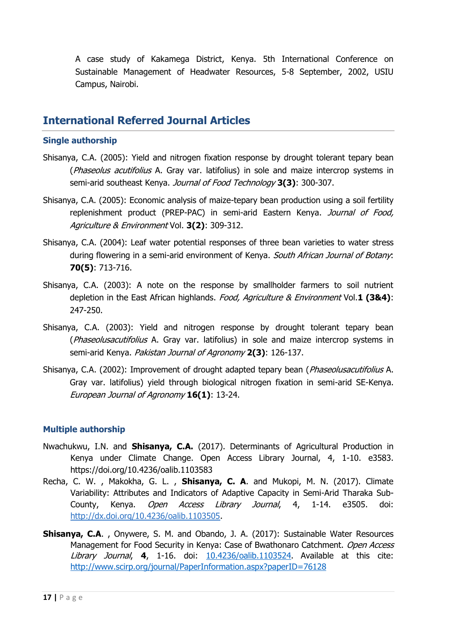A case study of Kakamega District, Kenya. 5th International Conference on Sustainable Management of Headwater Resources, 5-8 September, 2002, USIU Campus, Nairobi.

## **International Referred Journal Articles**

### **Single authorship**

- Shisanya, C.A. (2005): Yield and nitrogen fixation response by drought tolerant tepary bean (*Phaseolus acutifolius* A. Gray var. latifolius) in sole and maize intercrop systems in semi-arid southeast Kenya. Journal of Food Technology **3(3)**: 300-307.
- Shisanya, C.A. (2005): Economic analysis of maize-tepary bean production using a soil fertility replenishment product (PREP-PAC) in semi-arid Eastern Kenya. Journal of Food, Agriculture & Environment Vol. **3(2)**: 309-312.
- Shisanya, C.A. (2004): Leaf water potential responses of three bean varieties to water stress during flowering in a semi-arid environment of Kenya. South African Journal of Botany: **70(5)**: 713-716.
- Shisanya, C.A. (2003): A note on the response by smallholder farmers to soil nutrient depletion in the East African highlands. Food, Agriculture & Environment Vol.**1 (3&4)**: 247-250.
- Shisanya, C.A. (2003): Yield and nitrogen response by drought tolerant tepary bean (*Phaseolusacutifolius* A. Gray var. latifolius) in sole and maize intercrop systems in semi-arid Kenya. Pakistan Journal of Agronomy **2(3)**: 126-137.
- Shisanya, C.A. (2002): Improvement of drought adapted tepary bean (*Phaseolusacutifolius* A. Gray var. latifolius) yield through biological nitrogen fixation in semi-arid SE-Kenya. European Journal of Agronomy **16(1)**: 13-24.

### **Multiple authorship**

- Nwachukwu, I.N. and **Shisanya, C.A.** (2017). Determinants of Agricultural Production in Kenya under Climate Change. Open Access Library Journal, 4, 1-10. e3583. https://doi.org/10.4236/oalib.1103583
- Recha, C. W. , Makokha, G. L. , **Shisanya, C. A**. and Mukopi, M. N. (2017). Climate Variability: Attributes and Indicators of Adaptive Capacity in Semi-Arid Tharaka Sub-County, Kenya. *Open Access Library Journal*, 4, 1-14. e3505. doi: [http://dx.doi.org/10.4236/oalib.1103505.](http://dx.doi.org/10.4236/oalib.1103505)
- **Shisanya, C.A**. , Onywere, S. M. and Obando, J. A. (2017): Sustainable Water Resources Management for Food Security in Kenya: Case of Bwathonaro Catchment. Open Access Library Journal, **4**, 1-16. doi: [10.4236/oalib.1103524.](https://doi.org/10.4236/oalib.1103524) Available at this cite: <http://www.scirp.org/journal/PaperInformation.aspx?paperID=76128>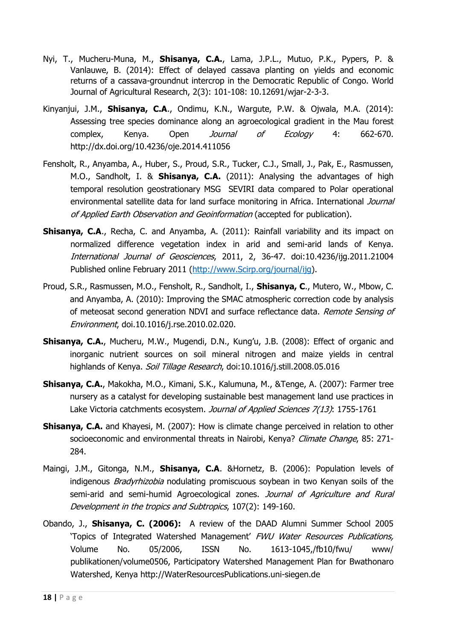- Nyi, T., Mucheru-Muna, M., **Shisanya, C.A.**, Lama, J.P.L., Mutuo, P.K., Pypers, P. & Vanlauwe, B. (2014): Effect of delayed cassava planting on yields and economic returns of a cassava-groundnut intercrop in the Democratic Republic of Congo. World Journal of Agricultural Research, 2(3): 101-108: 10.12691/wjar-2-3-3.
- Kinyanjui, J.M., **Shisanya, C.A**., Ondimu, K.N., Wargute, P.W. & Ojwala, M.A. (2014): Assessing tree species dominance along an agroecological gradient in the Mau forest complex, Kenya. Open *Journal of Ecology* 4: 662-670. http://dx.doi.org/10.4236/oje.2014.411056
- Fensholt, R., Anyamba, A., Huber, S., Proud, S.R., Tucker, C.J., Small, J., Pak, E., Rasmussen, M.O., Sandholt, I. & **Shisanya, C.A.** (2011): Analysing the advantages of high temporal resolution geostrationary MSG SEVIRI data compared to Polar operational environmental satellite data for land surface monitoring in Africa. International Journal of Applied Earth Observation and Geoinformation (accepted for publication).
- **Shisanya, C.A., Recha, C. and Anyamba, A. (2011): Rainfall variability and its impact on** normalized difference vegetation index in arid and semi-arid lands of Kenya. International Journal of Geosciences, 2011, 2, 36-47. doi:10.4236/ijg.2011.21004 Published online February 2011 [\(http://www.Scirp.org/journal/ijg\)](http://www.scirp.org/journal/ijg).
- Proud, S.R., Rasmussen, M.O., Fensholt, R., Sandholt, I., **Shisanya, C**., Mutero, W., Mbow, C. and Anyamba, A. (2010): Improving the SMAC atmospheric correction code by analysis of meteosat second generation NDVI and surface reflectance data. Remote Sensing of Environment, doi.10.1016/j.rse.2010.02.020.
- **Shisanya, C.A.**, Mucheru, M.W., Mugendi, D.N., Kung'u, J.B. (2008): Effect of organic and inorganic nutrient sources on soil mineral nitrogen and maize yields in central highlands of Kenya. Soil Tillage Research, doi:10.1016/j.still.2008.05.016
- **Shisanya, C.A.**, Makokha, M.O., Kimani, S.K., Kalumuna, M., &Tenge, A. (2007): Farmer tree nursery as a catalyst for developing sustainable best management land use practices in Lake Victoria catchments ecosystem. Journal of Applied Sciences 7(13): 1755-1761
- **Shisanya, C.A.** and Khayesi, M. (2007): How is climate change perceived in relation to other socioeconomic and environmental threats in Nairobi, Kenya? Climate Change, 85: 271-284.
- Maingi, J.M., Gitonga, N.M., **Shisanya, C.A**. &Hornetz, B. (2006): Population levels of indigenous *Bradyrhizobia* nodulating promiscuous soybean in two Kenyan soils of the semi-arid and semi-humid Agroecological zones. Journal of Agriculture and Rural Development in the tropics and Subtropics, 107(2): 149-160.
- Obando, J., **Shisanya, C. (2006):** A review of the DAAD Alumni Summer School 2005 'Topics of Integrated Watershed Management' FWU Water Resources Publications, Volume No. 05/2006, ISSN No. 1613-1045,/fb10/fwu/ www/ publikationen/volume0506, Participatory Watershed Management Plan for Bwathonaro Watershed, Kenya http://WaterResourcesPublications.uni-siegen.de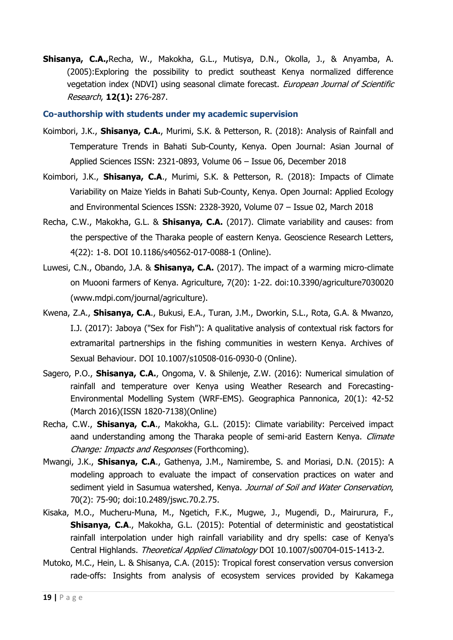**Shisanya, C.A.,**Recha, W., Makokha, G.L., Mutisya, D.N., Okolla, J., & Anyamba, A. (2005):Exploring the possibility to predict southeast Kenya normalized difference vegetation index (NDVI) using seasonal climate forecast. European Journal of Scientific Research, **12(1):** 276-287.

#### **Co-authorship with students under my academic supervision**

- Koimbori, J.K., **Shisanya, C.A.**, Murimi, S.K. & Petterson, R. (2018): Analysis of Rainfall and Temperature Trends in Bahati Sub-County, Kenya. Open Journal: Asian Journal of Applied Sciences ISSN: 2321-0893, Volume 06 – Issue 06, December 2018
- Koimbori, J.K., **Shisanya, C.A**., Murimi, S.K. & Petterson, R. (2018): Impacts of Climate Variability on Maize Yields in Bahati Sub-County, Kenya. Open Journal: Applied Ecology and Environmental Sciences ISSN: 2328-3920, Volume 07 – Issue 02, March 2018
- Recha, C.W., Makokha, G.L. & **Shisanya, C.A.** (2017). Climate variability and causes: from the perspective of the Tharaka people of eastern Kenya. Geoscience Research Letters, 4(22): 1-8. DOI 10.1186/s40562-017-0088-1 (Online).
- Luwesi, C.N., Obando, J.A. & **Shisanya, C.A.** (2017). The impact of a warming micro-climate on Muooni farmers of Kenya. Agriculture, 7(20): 1-22. doi:10.3390/agriculture7030020 (www.mdpi.com/journal/agriculture).
- Kwena, Z.A., **Shisanya, C.A**., Bukusi, E.A., Turan, J.M., Dworkin, S.L., Rota, G.A. & Mwanzo, I.J. (2017): Jaboya ("Sex for Fish"): A qualitative analysis of contextual risk factors for extramarital partnerships in the fishing communities in western Kenya. Archives of Sexual Behaviour. DOI 10.1007/s10508-016-0930-0 (Online).
- Sagero, P.O., **Shisanya, C.A.**, Ongoma, V. & Shilenje, Z.W. (2016): Numerical simulation of rainfall and temperature over Kenya using Weather Research and Forecasting-Environmental Modelling System (WRF-EMS). Geographica Pannonica, 20(1): 42-52 (March 2016)(ISSN 1820-7138)(Online)
- Recha, C.W., **Shisanya, C.A**., Makokha, G.L. (2015): Climate variability: Perceived impact aand understanding among the Tharaka people of semi-arid Eastern Kenya. Climate Change: Impacts and Responses (Forthcoming).
- Mwangi, J.K., **Shisanya, C.A**., Gathenya, J.M., Namirembe, S. and Moriasi, D.N. (2015): A modeling approach to evaluate the impact of conservation practices on water and sediment vield in Sasumua watershed, Kenya. Journal of Soil and Water Conservation, 70(2): 75-90; doi:10.2489/jswc.70.2.75.
- Kisaka, M.O., Mucheru-Muna, M., Ngetich, F.K., Mugwe, J., Mugendi, D., Mairurura, F., **Shisanya, C.A**., Makokha, G.L. (2015): Potential of deterministic and geostatistical rainfall interpolation under high rainfall variability and dry spells: case of Kenya's Central Highlands. Theoretical Applied Climatology DOI 10.1007/s00704-015-1413-2.
- Mutoko, M.C., Hein, L. & Shisanya, C.A. (2015): Tropical forest conservation versus conversion rade-offs: Insights from analysis of ecosystem services provided by Kakamega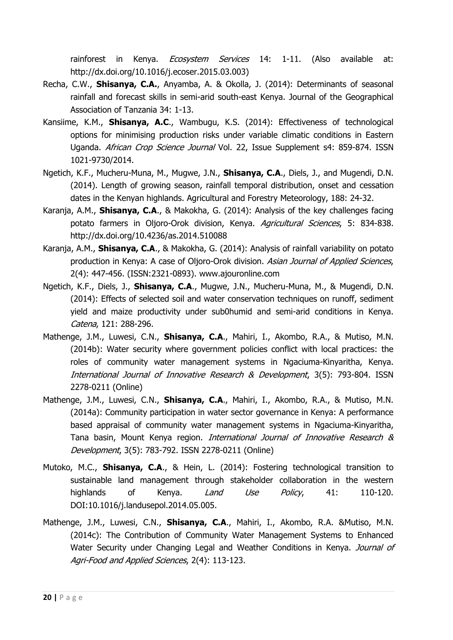rainforest in Kenya. *Ecosystem Services* 14: 1-11. (Also available at: http://dx.doi.org/10.1016/j.ecoser.2015.03.003)

- Recha, C.W., **Shisanya, C.A.**, Anyamba, A. & Okolla, J. (2014): Determinants of seasonal rainfall and forecast skills in semi-arid south-east Kenya. Journal of the Geographical Association of Tanzania 34: 1-13.
- Kansiime, K.M., **Shisanya, A.C**., Wambugu, K.S. (2014): Effectiveness of technological options for minimising production risks under variable climatic conditions in Eastern Uganda. African Crop Science Journal Vol. 22, Issue Supplement s4: 859-874. ISSN 1021-9730/2014.
- Ngetich, K.F., Mucheru-Muna, M., Mugwe, J.N., **Shisanya, C.A**., Diels, J., and Mugendi, D.N. (2014). Length of growing season, rainfall temporal distribution, onset and cessation dates in the Kenyan highlands. Agricultural and Forestry Meteorology, 188: 24-32.
- Karanja, A.M., **Shisanya, C.A**., & Makokha, G. (2014): Analysis of the key challenges facing potato farmers in Oljoro-Orok division, Kenya. Agricultural Sciences, 5: 834-838. http://dx.doi.org/10.4236/as.2014.510088
- Karanja, A.M., **Shisanya, C.A**., & Makokha, G. (2014): Analysis of rainfall variability on potato production in Kenya: A case of Oljoro-Orok division. Asian Journal of Applied Sciences, 2(4): 447-456. (ISSN:2321-0893). www.ajouronline.com
- Ngetich, K.F., Diels, J., **Shisanya, C.A**., Mugwe, J.N., Mucheru-Muna, M., & Mugendi, D.N. (2014): Effects of selected soil and water conservation techniques on runoff, sediment yield and maize productivity under sub0humid and semi-arid conditions in Kenya. Catena, 121: 288-296.
- Mathenge, J.M., Luwesi, C.N., **Shisanya, C.A**., Mahiri, I., Akombo, R.A., & Mutiso, M.N. (2014b): Water security where government policies conflict with local practices: the roles of community water management systems in Ngaciuma-Kinyaritha, Kenya. International Journal of Innovative Research & Development, 3(5): 793-804. ISSN 2278-0211 (Online)
- Mathenge, J.M., Luwesi, C.N., **Shisanya, C.A**., Mahiri, I., Akombo, R.A., & Mutiso, M.N. (2014a): Community participation in water sector governance in Kenya: A performance based appraisal of community water management systems in Ngaciuma-Kinyaritha, Tana basin, Mount Kenya region. International Journal of Innovative Research & Development, 3(5): 783-792. ISSN 2278-0211 (Online)
- Mutoko, M.C., **Shisanya, C.A**., & Hein, L. (2014): Fostering technological transition to sustainable land management through stakeholder collaboration in the western highlands of Kenya. *Land Use Policy*, 41: 110-120. DOI:10.1016/j.landusepol.2014.05.005.
- Mathenge, J.M., Luwesi, C.N., **Shisanya, C.A**., Mahiri, I., Akombo, R.A. &Mutiso, M.N. (2014c): The Contribution of Community Water Management Systems to Enhanced Water Security under Changing Legal and Weather Conditions in Kenya. Journal of Agri-Food and Applied Sciences, 2(4): 113-123.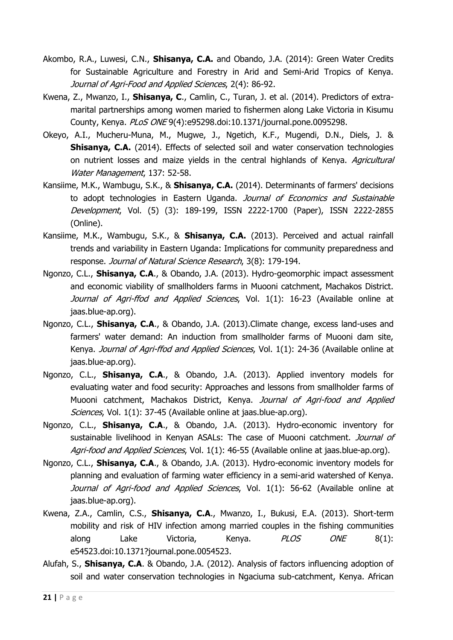- Akombo, R.A., Luwesi, C.N., **Shisanya, C.A.** and Obando, J.A. (2014): Green Water Credits for Sustainable Agriculture and Forestry in Arid and Semi-Arid Tropics of Kenya. Journal of Agri-Food and Applied Sciences, 2(4): 86-92.
- Kwena, Z., Mwanzo, I., **Shisanya, C**., Camlin, C., Turan, J. et al. (2014). Predictors of extramarital partnerships among women maried to fishermen along Lake Victoria in Kisumu County, Kenya. PLoS ONE 9(4):e95298.doi:10.1371/journal.pone.0095298.
- Okeyo, A.I., Mucheru-Muna, M., Mugwe, J., Ngetich, K.F., Mugendi, D.N., Diels, J. & **Shisanya, C.A.** (2014). Effects of selected soil and water conservation technologies on nutrient losses and maize yields in the central highlands of Kenya. Agricultural Water Management, 137: 52-58.
- Kansiime, M.K., Wambugu, S.K., & **Shisanya, C.A.** (2014). Determinants of farmers' decisions to adopt technologies in Eastern Uganda. Journal of Economics and Sustainable Development, Vol. (5) (3): 189-199, ISSN 2222-1700 (Paper), ISSN 2222-2855 (Online).
- Kansiime, M.K., Wambugu, S.K., & **Shisanya, C.A.** (2013). Perceived and actual rainfall trends and variability in Eastern Uganda: Implications for community preparedness and response. Journal of Natural Science Research, 3(8): 179-194.
- Ngonzo, C.L., **Shisanya, C.A**., & Obando, J.A. (2013). Hydro-geomorphic impact assessment and economic viability of smallholders farms in Muooni catchment, Machakos District. Journal of Agri-ffod and Applied Sciences, Vol. 1(1): 16-23 (Available online at jaas.blue-ap.org).
- Ngonzo, C.L., **Shisanya, C.A**., & Obando, J.A. (2013).Climate change, excess land-uses and farmers' water demand: An induction from smallholder farms of Muooni dam site, Kenya. Journal of Agri-ffod and Applied Sciences, Vol. 1(1): 24-36 (Available online at jaas.blue-ap.org).
- Ngonzo, C.L., **Shisanya, C.A**., & Obando, J.A. (2013). Applied inventory models for evaluating water and food security: Approaches and lessons from smallholder farms of Muooni catchment, Machakos District, Kenya. Journal of Agri-food and Applied Sciences, Vol. 1(1): 37-45 (Available online at jaas.blue-ap.org).
- Ngonzo, C.L., **Shisanya, C.A**., & Obando, J.A. (2013). Hydro-economic inventory for sustainable livelihood in Kenyan ASALs: The case of Muooni catchment. Journal of Agri-food and Applied Sciences, Vol. 1(1): 46-55 (Available online at jaas.blue-ap.org).
- Ngonzo, C.L., **Shisanya, C.A**., & Obando, J.A. (2013). Hydro-economic inventory models for planning and evaluation of farming water efficiency in a semi-arid watershed of Kenya. Journal of Agri-food and Applied Sciences, Vol. 1(1): 56-62 (Available online at jaas.blue-ap.org).
- Kwena, Z.A., Camlin, C.S., **Shisanya, C.A**., Mwanzo, I., Bukusi, E.A. (2013). Short-term mobility and risk of HIV infection among married couples in the fishing communities along Lake Victoria, Kenya. *PLOS ONE* 8(1): e54523.doi:10.1371?journal.pone.0054523.
- Alufah, S., **Shisanya, C.A**. & Obando, J.A. (2012). Analysis of factors influencing adoption of soil and water conservation technologies in Ngaciuma sub-catchment, Kenya. African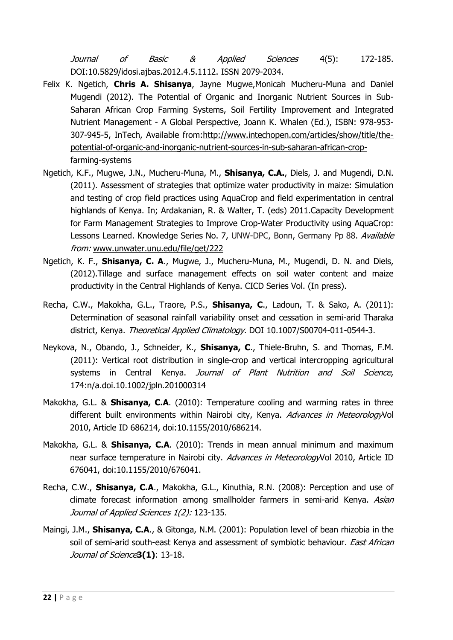Journal of Basic & Applied Sciences 4(5): 172-185. DOI:10.5829/idosi.ajbas.2012.4.5.1112. ISSN 2079-2034.

- Felix K. Ngetich, **Chris A. Shisanya**, Jayne Mugwe,Monicah Mucheru-Muna and Daniel Mugendi (2012). The Potential of Organic and Inorganic Nutrient Sources in Sub-Saharan African Crop Farming Systems, Soil Fertility Improvement and Integrated Nutrient Management - A Global Perspective, Joann K. Whalen (Ed.), ISBN: 978-953- 307-945-5, InTech, Available from[:http://www.intechopen.com/articles/show/title/the](http://www.intechopen.com/articles/show/title/the-potential-of-organic-and-inorganic-nutrient-sources-in-sub-saharan-african-crop-farming-systems)[potential-of-organic-and-inorganic-nutrient-sources-in-sub-saharan-african-crop](http://www.intechopen.com/articles/show/title/the-potential-of-organic-and-inorganic-nutrient-sources-in-sub-saharan-african-crop-farming-systems)[farming-systems](http://www.intechopen.com/articles/show/title/the-potential-of-organic-and-inorganic-nutrient-sources-in-sub-saharan-african-crop-farming-systems)
- Ngetich, K.F., Mugwe, J.N., Mucheru-Muna, M., **Shisanya, C.A.**, Diels, J. and Mugendi, D.N. (2011). Assessment of strategies that optimize water productivity in maize: Simulation and testing of crop field practices using AquaCrop and field experimentation in central highlands of Kenya. In; Ardakanian, R. & Walter, T. (eds) 2011.Capacity Development for Farm Management Strategies to Improve Crop-Water Productivity using AquaCrop: Lessons Learned. Knowledge Series No. 7, UNW-DPC, Bonn, Germany Pp 88. Available from: [www.unwater.unu.edu/file/get/222](http://www.unwater.unu.edu/file/get/222)
- Ngetich, K. F., **Shisanya, C. A**., Mugwe, J., Mucheru-Muna, M., Mugendi, D. N. and Diels, (2012).Tillage and surface management effects on soil water content and maize productivity in the Central Highlands of Kenya. CICD Series Vol. (In press).
- Recha, C.W., Makokha, G.L., Traore, P.S., **Shisanya, C**., Ladoun, T. & Sako, A. (2011): Determination of seasonal rainfall variability onset and cessation in semi-arid Tharaka district, Kenya. Theoretical Applied Climatology. DOI 10.1007/S00704-011-0544-3.
- Neykova, N., Obando, J., Schneider, K., **Shisanya, C**., Thiele-Bruhn, S. and Thomas, F.M. (2011): Vertical root distribution in single-crop and vertical intercropping agricultural systems in Central Kenya. Journal of Plant Nutrition and Soil Science, 174:n/a.doi.10.1002/jpln.201000314
- Makokha, G.L. & **Shisanya, C.A**. (2010): Temperature cooling and warming rates in three different built environments within Nairobi city, Kenya. Advances in MeteorologyVol 2010, Article ID 686214, doi:10.1155/2010/686214.
- Makokha, G.L. & **Shisanya, C.A**. (2010): Trends in mean annual minimum and maximum near surface temperature in Nairobi city. Advances in MeteorologyVol 2010, Article ID 676041, doi:10.1155/2010/676041.
- Recha, C.W., **Shisanya, C.A**., Makokha, G.L., Kinuthia, R.N. (2008): Perception and use of climate forecast information among smallholder farmers in semi-arid Kenya. Asian Journal of Applied Sciences 1(2): 123-135.
- Maingi, J.M., **Shisanya, C.A**., & Gitonga, N.M. (2001): Population level of bean rhizobia in the soil of semi-arid south-east Kenya and assessment of symbiotic behaviour. East African Journal of Science**3(1)**: 13-18.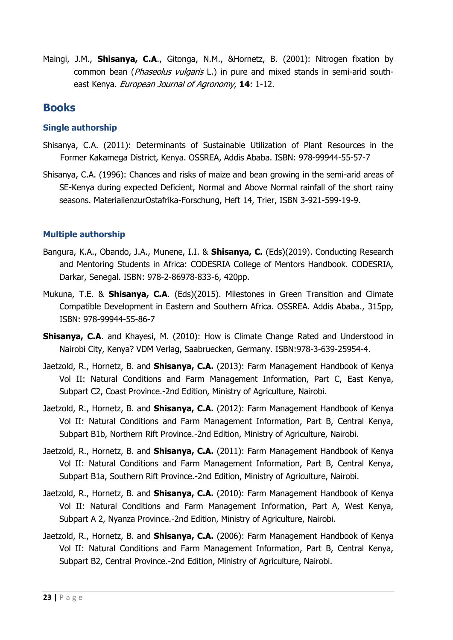Maingi, J.M., **Shisanya, C.A**., Gitonga, N.M., &Hornetz, B. (2001): Nitrogen fixation by common bean (*Phaseolus vulgaris* L.) in pure and mixed stands in semi-arid southeast Kenya. European Journal of Agronomy, **14**: 1-12.

### **Books**

#### **Single authorship**

- Shisanya, C.A. (2011): Determinants of Sustainable Utilization of Plant Resources in the Former Kakamega District, Kenya. OSSREA, Addis Ababa. ISBN: 978-99944-55-57-7
- Shisanya, C.A. (1996): Chances and risks of maize and bean growing in the semi-arid areas of SE-Kenya during expected Deficient, Normal and Above Normal rainfall of the short rainy seasons. MaterialienzurOstafrika-Forschung, Heft 14, Trier, ISBN 3-921-599-19-9.

### **Multiple authorship**

- Bangura, K.A., Obando, J.A., Munene, I.I. & **Shisanya, C.** (Eds)(2019). Conducting Research and Mentoring Students in Africa: CODESRIA College of Mentors Handbook. CODESRIA, Darkar, Senegal. ISBN: 978-2-86978-833-6, 420pp.
- Mukuna, T.E. & **Shisanya, C.A**. (Eds)(2015). Milestones in Green Transition and Climate Compatible Development in Eastern and Southern Africa. OSSREA. Addis Ababa., 315pp, ISBN: 978-99944-55-86-7
- **Shisanya, C.A**. and Khayesi, M. (2010): How is Climate Change Rated and Understood in Nairobi City, Kenya? VDM Verlag, Saabruecken, Germany. ISBN:978-3-639-25954-4.
- Jaetzold, R., Hornetz, B. and **Shisanya, C.A.** (2013): Farm Management Handbook of Kenya Vol II: Natural Conditions and Farm Management Information, Part C, East Kenya, Subpart C2, Coast Province.-2nd Edition, Ministry of Agriculture, Nairobi.
- Jaetzold, R., Hornetz, B. and **Shisanya, C.A.** (2012): Farm Management Handbook of Kenya Vol II: Natural Conditions and Farm Management Information, Part B, Central Kenya, Subpart B1b, Northern Rift Province.-2nd Edition, Ministry of Agriculture, Nairobi.
- Jaetzold, R., Hornetz, B. and **Shisanya, C.A.** (2011): Farm Management Handbook of Kenya Vol II: Natural Conditions and Farm Management Information, Part B, Central Kenya, Subpart B1a, Southern Rift Province.-2nd Edition, Ministry of Agriculture, Nairobi.
- Jaetzold, R., Hornetz, B. and **Shisanya, C.A.** (2010): Farm Management Handbook of Kenya Vol II: Natural Conditions and Farm Management Information, Part A, West Kenya, Subpart A 2, Nyanza Province.-2nd Edition, Ministry of Agriculture, Nairobi.
- Jaetzold, R., Hornetz, B. and **Shisanya, C.A.** (2006): Farm Management Handbook of Kenya Vol II: Natural Conditions and Farm Management Information, Part B, Central Kenya, Subpart B2, Central Province.-2nd Edition, Ministry of Agriculture, Nairobi.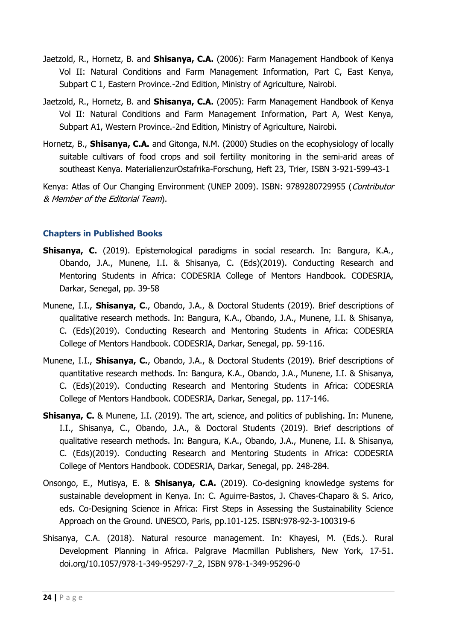- Jaetzold, R., Hornetz, B. and **Shisanya, C.A.** (2006): Farm Management Handbook of Kenya Vol II: Natural Conditions and Farm Management Information, Part C, East Kenya, Subpart C 1, Eastern Province.-2nd Edition, Ministry of Agriculture, Nairobi.
- Jaetzold, R., Hornetz, B. and **Shisanya, C.A.** (2005): Farm Management Handbook of Kenya Vol II: Natural Conditions and Farm Management Information, Part A, West Kenya, Subpart A1, Western Province.-2nd Edition, Ministry of Agriculture, Nairobi.
- Hornetz, B., **Shisanya, C.A.** and Gitonga, N.M. (2000) Studies on the ecophysiology of locally suitable cultivars of food crops and soil fertility monitoring in the semi-arid areas of southeast Kenya. MaterialienzurOstafrika-Forschung, Heft 23, Trier, ISBN 3-921-599-43-1

Kenya: Atlas of Our Changing Environment (UNEP 2009). ISBN: 9789280729955 (Contributor & Member of the Editorial Team).

### **Chapters in Published Books**

- **Shisanya, C.** (2019). Epistemological paradigms in social research. In: Bangura, K.A., Obando, J.A., Munene, I.I. & Shisanya, C. (Eds)(2019). Conducting Research and Mentoring Students in Africa: CODESRIA College of Mentors Handbook. CODESRIA, Darkar, Senegal, pp. 39-58
- Munene, I.I., **Shisanya, C**., Obando, J.A., & Doctoral Students (2019). Brief descriptions of qualitative research methods. In: Bangura, K.A., Obando, J.A., Munene, I.I. & Shisanya, C. (Eds)(2019). Conducting Research and Mentoring Students in Africa: CODESRIA College of Mentors Handbook. CODESRIA, Darkar, Senegal, pp. 59-116.
- Munene, I.I., **Shisanya, C.**, Obando, J.A., & Doctoral Students (2019). Brief descriptions of quantitative research methods. In: Bangura, K.A., Obando, J.A., Munene, I.I. & Shisanya, C. (Eds)(2019). Conducting Research and Mentoring Students in Africa: CODESRIA College of Mentors Handbook. CODESRIA, Darkar, Senegal, pp. 117-146.
- **Shisanya, C.** & Munene, I.I. (2019). The art, science, and politics of publishing. In: Munene, I.I., Shisanya, C., Obando, J.A., & Doctoral Students (2019). Brief descriptions of qualitative research methods. In: Bangura, K.A., Obando, J.A., Munene, I.I. & Shisanya, C. (Eds)(2019). Conducting Research and Mentoring Students in Africa: CODESRIA College of Mentors Handbook. CODESRIA, Darkar, Senegal, pp. 248-284.
- Onsongo, E., Mutisya, E. & **Shisanya, C.A.** (2019). Co-designing knowledge systems for sustainable development in Kenya. In: C. Aguirre-Bastos, J. Chaves-Chaparo & S. Arico, eds. Co-Designing Science in Africa: First Steps in Assessing the Sustainability Science Approach on the Ground. UNESCO, Paris, pp.101-125. ISBN:978-92-3-100319-6
- Shisanya, C.A. (2018). Natural resource management. In: Khayesi, M. (Eds.). Rural Development Planning in Africa. Palgrave Macmillan Publishers, New York, 17-51. doi.org/10.1057/978-1-349-95297-7\_2, ISBN 978-1-349-95296-0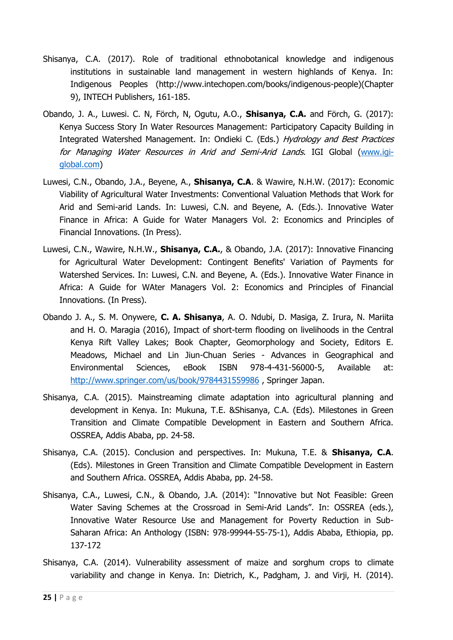- Shisanya, C.A. (2017). Role of traditional ethnobotanical knowledge and indigenous institutions in sustainable land management in western highlands of Kenya. In: Indigenous Peoples (http://www.intechopen.com/books/indigenous-people)(Chapter 9), INTECH Publishers, 161-185.
- Obando, J. A., Luwesi. C. N, Förch, N, Ogutu, A.O., **Shisanya, C.A.** and Förch, G. (2017): Kenya Success Story In Water Resources Management: Participatory Capacity Building in Integrated Watershed Management. In: Ondieki C. (Eds.) Hydrology and Best Practices for Managing Water Resources in Arid and Semi-Arid Lands. IGI Global [\(www.igi](http://www.igi-global.com/)[global.com\)](http://www.igi-global.com/)
- Luwesi, C.N., Obando, J.A., Beyene, A., **Shisanya, C.A**. & Wawire, N.H.W. (2017): Economic Viability of Agricultural Water Investments: Conventional Valuation Methods that Work for Arid and Semi-arid Lands. In: Luwesi, C.N. and Beyene, A. (Eds.). Innovative Water Finance in Africa: A Guide for Water Managers Vol. 2: Economics and Principles of Financial Innovations. (In Press).
- Luwesi, C.N., Wawire, N.H.W., **Shisanya, C.A.**, & Obando, J.A. (2017): Innovative Financing for Agricultural Water Development: Contingent Benefits' Variation of Payments for Watershed Services. In: Luwesi, C.N. and Beyene, A. (Eds.). Innovative Water Finance in Africa: A Guide for WAter Managers Vol. 2: Economics and Principles of Financial Innovations. (In Press).
- Obando J. A., S. M. Onywere, **C. A. Shisanya**, A. O. Ndubi, D. Masiga, Z. Irura, N. Mariita and H. O. Maragia (2016), Impact of short-term flooding on livelihoods in the Central Kenya Rift Valley Lakes; Book Chapter, Geomorphology and Society, Editors E. Meadows, Michael and Lin Jiun-Chuan Series - Advances in Geographical and Environmental Sciences, eBook ISBN 978-4-431-56000-5, Available at: <http://www.springer.com/us/book/9784431559986> , Springer Japan.
- Shisanya, C.A. (2015). Mainstreaming climate adaptation into agricultural planning and development in Kenya. In: Mukuna, T.E. &Shisanya, C.A. (Eds). Milestones in Green Transition and Climate Compatible Development in Eastern and Southern Africa. OSSREA, Addis Ababa, pp. 24-58.
- Shisanya, C.A. (2015). Conclusion and perspectives. In: Mukuna, T.E. & **Shisanya, C.A**. (Eds). Milestones in Green Transition and Climate Compatible Development in Eastern and Southern Africa. OSSREA, Addis Ababa, pp. 24-58.
- Shisanya, C.A., Luwesi, C.N., & Obando, J.A. (2014): "Innovative but Not Feasible: Green Water Saving Schemes at the Crossroad in Semi-Arid Lands". In: OSSREA (eds.), Innovative Water Resource Use and Management for Poverty Reduction in Sub-Saharan Africa: An Anthology (ISBN: 978-99944-55-75-1), Addis Ababa, Ethiopia, pp. 137-172
- Shisanya, C.A. (2014). Vulnerability assessment of maize and sorghum crops to climate variability and change in Kenya. In: Dietrich, K., Padgham, J. and Virji, H. (2014).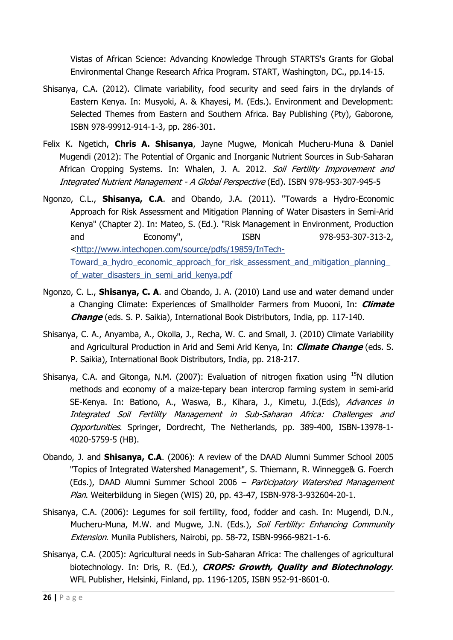Vistas of African Science: Advancing Knowledge Through STARTS's Grants for Global Environmental Change Research Africa Program. START, Washington, DC., pp.14-15.

- Shisanya, C.A. (2012). Climate variability, food security and seed fairs in the drylands of Eastern Kenya. In: Musyoki, A. & Khayesi, M. (Eds.). Environment and Development: Selected Themes from Eastern and Southern Africa. Bay Publishing (Pty), Gaborone, ISBN 978-99912-914-1-3, pp. 286-301.
- Felix K. Ngetich, **Chris A. Shisanya**, Jayne Mugwe, Monicah Mucheru-Muna & Daniel Mugendi (2012): The Potential of Organic and Inorganic Nutrient Sources in Sub-Saharan African Cropping Systems. In: Whalen, J. A. 2012. Soil Fertility Improvement and Integrated Nutrient Management - A Global Perspective (Ed). ISBN 978-953-307-945-5
- Ngonzo, C.L., **Shisanya, C.A**. and Obando, J.A. (2011). "Towards a Hydro-Economic Approach for Risk Assessment and Mitigation Planning of Water Disasters in Semi-Arid Kenya" (Chapter 2). In: Mateo, S. (Ed.). "Risk Management in Environment, Production and Economy", ISBN 978-953-307-313-2, [<http://www.intechopen.com/source/pdfs/19859/InTech-](http://www.intechopen.com/source/pdfs/19859/InTech-Toward_a_hydro_economic_approach_for_risk_assessment_and_mitigation_planning_of_water_disasters_in_semi_arid_kenya.pdf)Toward a hydro economic approach for risk assessment and mitigation planning of water disasters in semi arid kenya.pdf
- Ngonzo, C. L., **Shisanya, C. A**. and Obando, J. A. (2010) Land use and water demand under a Changing Climate: Experiences of Smallholder Farmers from Muooni, In: **Climate Change** (eds. S. P. Saikia), International Book Distributors, India, pp. 117-140.
- Shisanya, C. A., Anyamba, A., Okolla, J., Recha, W. C. and Small, J. (2010) Climate Variability and Agricultural Production in Arid and Semi Arid Kenya, In: **Climate Change** (eds. S. P. Saikia), International Book Distributors, India, pp. 218-217.
- Shisanya, C.A. and Gitonga, N.M. (2007): Evaluation of nitrogen fixation using  $^{15}N$  dilution methods and economy of a maize-tepary bean intercrop farming system in semi-arid SE-Kenya. In: Bationo, A., Waswa, B., Kihara, J., Kimetu, J.(Eds), Advances in Integrated Soil Fertility Management in Sub-Saharan Africa: Challenges and Opportunities. Springer, Dordrecht, The Netherlands, pp. 389-400, ISBN-13978-1- 4020-5759-5 (HB).
- Obando, J. and **Shisanya, C.A**. (2006): A review of the DAAD Alumni Summer School 2005 "Topics of Integrated Watershed Management", S. Thiemann, R. Winnegge& G. Foerch (Eds.), DAAD Alumni Summer School 2006 - Participatory Watershed Management Plan. Weiterbildung in Siegen (WIS) 20, pp. 43-47, ISBN-978-3-932604-20-1.
- Shisanya, C.A. (2006): Legumes for soil fertility, food, fodder and cash. In: Mugendi, D.N., Mucheru-Muna, M.W. and Mugwe, J.N. (Eds.), Soil Fertility: Enhancing Community Extension. Munila Publishers, Nairobi, pp. 58-72, ISBN-9966-9821-1-6.
- Shisanya, C.A. (2005): Agricultural needs in Sub-Saharan Africa: The challenges of agricultural biotechnology. In: Dris, R. (Ed.), **CROPS: Growth, Quality and Biotechnology**. WFL Publisher, Helsinki, Finland, pp. 1196-1205, ISBN 952-91-8601-0.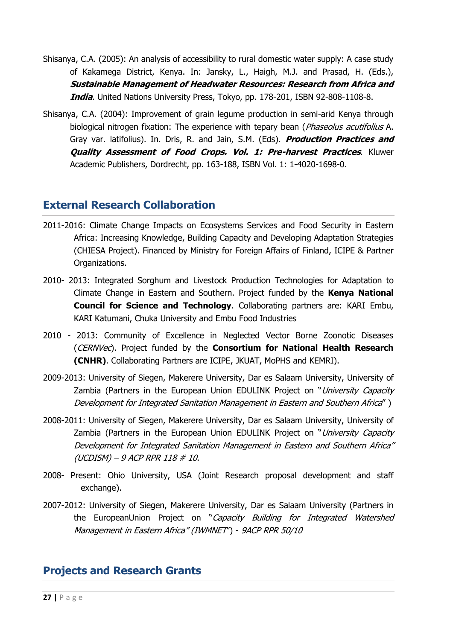- Shisanya, C.A. (2005): An analysis of accessibility to rural domestic water supply: A case study of Kakamega District, Kenya. In: Jansky, L., Haigh, M.J. and Prasad, H. (Eds.), **Sustainable Management of Headwater Resources: Research from Africa and India**. United Nations University Press, Tokyo, pp. 178-201, ISBN 92-808-1108-8.
- Shisanya, C.A. (2004): Improvement of grain legume production in semi-arid Kenya through biological nitrogen fixation: The experience with tepary bean (*Phaseolus acutifolius* A. Gray var. latifolius). In. Dris, R. and Jain, S.M. (Eds). **Production Practices and Quality Assessment of Food Crops. Vol. 1: Pre-harvest Practices**. Kluwer Academic Publishers, Dordrecht, pp. 163-188, ISBN Vol. 1: 1-4020-1698-0.

## **External Research Collaboration**

- 2011-2016: Climate Change Impacts on Ecosystems Services and Food Security in Eastern Africa: Increasing Knowledge, Building Capacity and Developing Adaptation Strategies (CHIESA Project). Financed by Ministry for Foreign Affairs of Finland, ICIPE & Partner Organizations.
- 2010- 2013: Integrated Sorghum and Livestock Production Technologies for Adaptation to Climate Change in Eastern and Southern. Project funded by the **Kenya National Council for Science and Technology**. Collaborating partners are: KARI Embu, KARI Katumani, Chuka University and Embu Food Industries
- 2010 2013: Community of Excellence in Neglected Vector Borne Zoonotic Diseases (CERNVec). Project funded by the **Consortium for National Health Research (CNHR)**. Collaborating Partners are ICIPE, JKUAT, MoPHS and KEMRI).
- 2009-2013: University of Siegen, Makerere University, Dar es Salaam University, University of Zambia (Partners in the European Union EDULINK Project on "University Capacity Development for Integrated Sanitation Management in Eastern and Southern Africa" )
- 2008-2011: University of Siegen, Makerere University, Dar es Salaam University, University of Zambia (Partners in the European Union EDULINK Project on "University Capacity Development for Integrated Sanitation Management in Eastern and Southern Africa" (UCDISM) – 9 ACP RPR 118 # 10.
- 2008- Present: Ohio University, USA (Joint Research proposal development and staff exchange).
- 2007-2012: University of Siegen, Makerere University, Dar es Salaam University (Partners in the EuropeanUnion Project on "Capacity Building for Integrated Watershed Management in Eastern Africa" (IWMNET") - 9ACP RPR 50/10

# **Projects and Research Grants**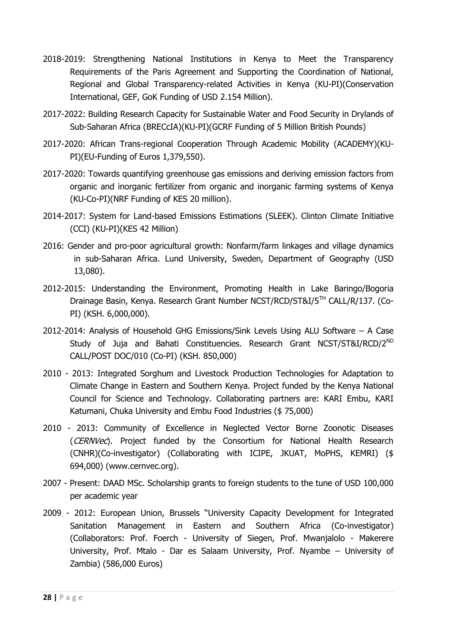- 2018-2019: Strengthening National Institutions in Kenya to Meet the Transparency Requirements of the Paris Agreement and Supporting the Coordination of National, Regional and Global Transparency-related Activities in Kenya (KU-PI)(Conservation International, GEF, GoK Funding of USD 2.154 Million).
- 2017-2022: Building Research Capacity for Sustainable Water and Food Security in Drylands of Sub-Saharan Africa (BRECcIA)(KU-PI)(GCRF Funding of 5 Million British Pounds)
- 2017-2020: African Trans-regional Cooperation Through Academic Mobility (ACADEMY)(KU-PI)(EU-Funding of Euros 1,379,550).
- 2017-2020: Towards quantifying greenhouse gas emissions and deriving emission factors from organic and inorganic fertilizer from organic and inorganic farming systems of Kenya (KU-Co-PI)(NRF Funding of KES 20 million).
- 2014-2017: System for Land-based Emissions Estimations (SLEEK). Clinton Climate Initiative (CCI) (KU-PI)(KES 42 Million)
- 2016: Gender and pro-poor agricultural growth: Nonfarm/farm linkages and village dynamics in sub-Saharan Africa. Lund University, Sweden, Department of Geography (USD 13,080).
- 2012-2015: Understanding the Environment, Promoting Health in Lake Baringo/Bogoria Drainage Basin, Kenya. Research Grant Number NCST/RCD/ST&I/5TH CALL/R/137. (Co-PI) (KSH. 6,000,000).
- 2012-2014: Analysis of Household GHG Emissions/Sink Levels Using ALU Software A Case Study of Juja and Bahati Constituencies. Research Grant NCST/ST&I/RCD/2<sup>ND</sup> CALL/POST DOC/010 (Co-PI) (KSH. 850,000)
- 2010 2013: Integrated Sorghum and Livestock Production Technologies for Adaptation to Climate Change in Eastern and Southern Kenya. Project funded by the Kenya National Council for Science and Technology. Collaborating partners are: KARI Embu, KARI Katumani, Chuka University and Embu Food Industries (\$ 75,000)
- 2010 2013: Community of Excellence in Neglected Vector Borne Zoonotic Diseases (CERNVec). Project funded by the Consortium for National Health Research (CNHR)(Co-investigator) (Collaborating with ICIPE, JKUAT, MoPHS, KEMRI) (\$ 694,000) (www.cernvec.org).
- 2007 Present: DAAD MSc. Scholarship grants to foreign students to the tune of USD 100,000 per academic year
- 2009 2012: European Union, Brussels "University Capacity Development for Integrated Sanitation Management in Eastern and Southern Africa (Co-investigator) (Collaborators: Prof. Foerch - University of Siegen, Prof. Mwanjalolo - Makerere University, Prof. Mtalo - Dar es Salaam University, Prof. Nyambe – University of Zambia) (586,000 Euros)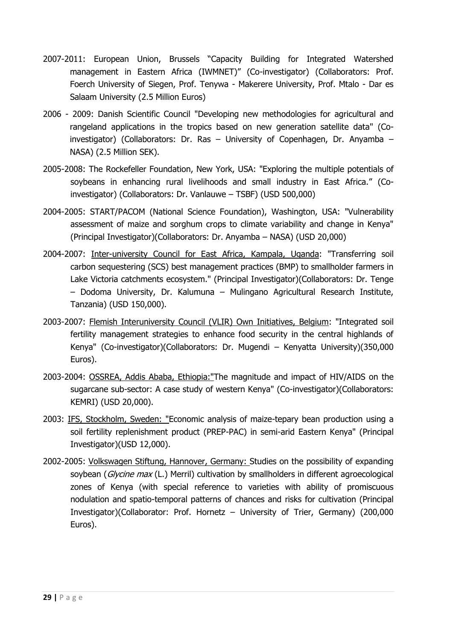- 2007-2011: European Union, Brussels "Capacity Building for Integrated Watershed management in Eastern Africa (IWMNET)" (Co-investigator) (Collaborators: Prof. Foerch University of Siegen, Prof. Tenywa - Makerere University, Prof. Mtalo - Dar es Salaam University (2.5 Million Euros)
- 2006 2009: Danish Scientific Council "Developing new methodologies for agricultural and rangeland applications in the tropics based on new generation satellite data" (Coinvestigator) (Collaborators: Dr. Ras – University of Copenhagen, Dr. Anyamba – NASA) (2.5 Million SEK).
- 2005-2008: The Rockefeller Foundation, New York, USA: "Exploring the multiple potentials of soybeans in enhancing rural livelihoods and small industry in East Africa." (Coinvestigator) (Collaborators: Dr. Vanlauwe – TSBF) (USD 500,000)
- 2004-2005: START/PACOM (National Science Foundation), Washington, USA: "Vulnerability assessment of maize and sorghum crops to climate variability and change in Kenya" (Principal Investigator)(Collaborators: Dr. Anyamba – NASA) (USD 20,000)
- 2004-2007: Inter-university Council for East Africa, Kampala, Uganda: "Transferring soil carbon sequestering (SCS) best management practices (BMP) to smallholder farmers in Lake Victoria catchments ecosystem." (Principal Investigator)(Collaborators: Dr. Tenge – Dodoma University, Dr. Kalumuna – Mulingano Agricultural Research Institute, Tanzania) (USD 150,000).
- 2003-2007: Flemish Interuniversity Council (VLIR) Own Initiatives, Belgium: "Integrated soil fertility management strategies to enhance food security in the central highlands of Kenya" (Co-investigator)(Collaborators: Dr. Mugendi – Kenyatta University)(350,000 Euros).
- 2003-2004: OSSREA, Addis Ababa, Ethiopia:"The magnitude and impact of HIV/AIDS on the sugarcane sub-sector: A case study of western Kenya" (Co-investigator)(Collaborators: KEMRI) (USD 20,000).
- 2003: IFS, Stockholm, Sweden: "Economic analysis of maize-tepary bean production using a soil fertility replenishment product (PREP-PAC) in semi-arid Eastern Kenya" (Principal Investigator)(USD 12,000).
- 2002-2005: Volkswagen Stiftung, Hannover, Germany: Studies on the possibility of expanding soybean (Glycine max (L.) Merril) cultivation by smallholders in different agroecological zones of Kenya (with special reference to varieties with ability of promiscuous nodulation and spatio-temporal patterns of chances and risks for cultivation (Principal Investigator)(Collaborator: Prof. Hornetz – University of Trier, Germany) (200,000 Euros).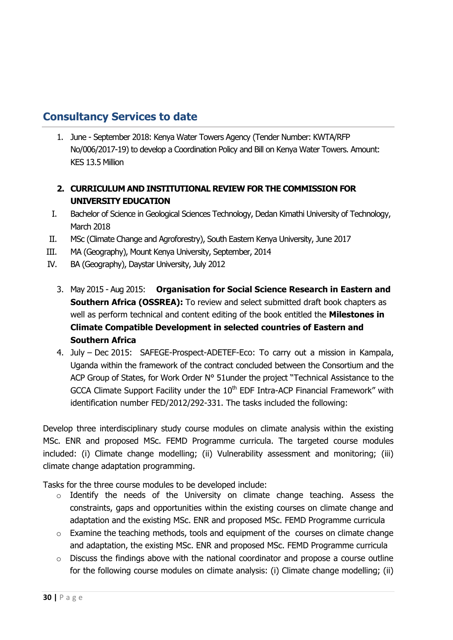# **Consultancy Services to date**

1. June - September 2018: Kenya Water Towers Agency (Tender Number: KWTA/RFP No/006/2017-19) to develop a Coordination Policy and Bill on Kenya Water Towers. Amount: KES 13.5 Million

### **2. CURRICULUM AND INSTITUTIONAL REVIEW FOR THE COMMISSION FOR UNIVERSITY EDUCATION**

- I. Bachelor of Science in Geological Sciences Technology, Dedan Kimathi University of Technology, March 2018
- II. MSc (Climate Change and Agroforestry), South Eastern Kenya University, June 2017
- III. MA (Geography), Mount Kenya University, September, 2014
- IV. BA (Geography), Daystar University, July 2012
	- 3. May 2015 Aug 2015: **Organisation for Social Science Research in Eastern and Southern Africa (OSSREA):** To review and select submitted draft book chapters as well as perform technical and content editing of the book entitled the **Milestones in Climate Compatible Development in selected countries of Eastern and Southern Africa**
	- 4. July Dec 2015: SAFEGE-Prospect-ADETEF-Eco: To carry out a mission in Kampala, Uganda within the framework of the contract concluded between the Consortium and the ACP Group of States, for Work Order N° 51 under the project "Technical Assistance to the GCCA Climate Support Facility under the  $10<sup>th</sup>$  EDF Intra-ACP Financial Framework" with identification number FED/2012/292-331. The tasks included the following:

Develop three interdisciplinary study course modules on climate analysis within the existing MSc. ENR and proposed MSc. FEMD Programme curricula. The targeted course modules included: (i) Climate change modelling; (ii) Vulnerability assessment and monitoring; (iii) climate change adaptation programming.

Tasks for the three course modules to be developed include:

- o Identify the needs of the University on climate change teaching. Assess the constraints, gaps and opportunities within the existing courses on climate change and adaptation and the existing MSc. ENR and proposed MSc. FEMD Programme curricula
- o Examine the teaching methods, tools and equipment of the courses on climate change and adaptation, the existing MSc. ENR and proposed MSc. FEMD Programme curricula
- o Discuss the findings above with the national coordinator and propose a course outline for the following course modules on climate analysis: (i) Climate change modelling; (ii)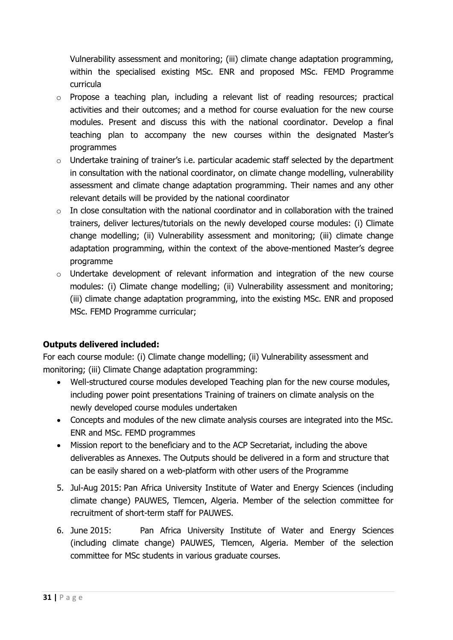Vulnerability assessment and monitoring; (iii) climate change adaptation programming, within the specialised existing MSc. ENR and proposed MSc. FEMD Programme curricula

- o Propose a teaching plan, including a relevant list of reading resources; practical activities and their outcomes; and a method for course evaluation for the new course modules. Present and discuss this with the national coordinator. Develop a final teaching plan to accompany the new courses within the designated Master's programmes
- $\circ$  Undertake training of trainer's i.e. particular academic staff selected by the department in consultation with the national coordinator, on climate change modelling, vulnerability assessment and climate change adaptation programming. Their names and any other relevant details will be provided by the national coordinator
- $\circ$  In close consultation with the national coordinator and in collaboration with the trained trainers, deliver lectures/tutorials on the newly developed course modules: (i) Climate change modelling; (ii) Vulnerability assessment and monitoring; (iii) climate change adaptation programming, within the context of the above-mentioned Master's degree programme
- $\circ$  Undertake development of relevant information and integration of the new course modules: (i) Climate change modelling; (ii) Vulnerability assessment and monitoring; (iii) climate change adaptation programming, into the existing MSc. ENR and proposed MSc. FEMD Programme curricular;

### **Outputs delivered included:**

For each course module: (i) Climate change modelling; (ii) Vulnerability assessment and monitoring; (iii) Climate Change adaptation programming:

- Well-structured course modules developed Teaching plan for the new course modules, including power point presentations Training of trainers on climate analysis on the newly developed course modules undertaken
- Concepts and modules of the new climate analysis courses are integrated into the MSc. ENR and MSc. FEMD programmes
- Mission report to the beneficiary and to the ACP Secretariat, including the above deliverables as Annexes. The Outputs should be delivered in a form and structure that can be easily shared on a web-platform with other users of the Programme
- 5. Jul-Aug 2015: Pan Africa University Institute of Water and Energy Sciences (including climate change) PAUWES, Tlemcen, Algeria. Member of the selection committee for recruitment of short-term staff for PAUWES.
- 6. June 2015: Pan Africa University Institute of Water and Energy Sciences (including climate change) PAUWES, Tlemcen, Algeria. Member of the selection committee for MSc students in various graduate courses.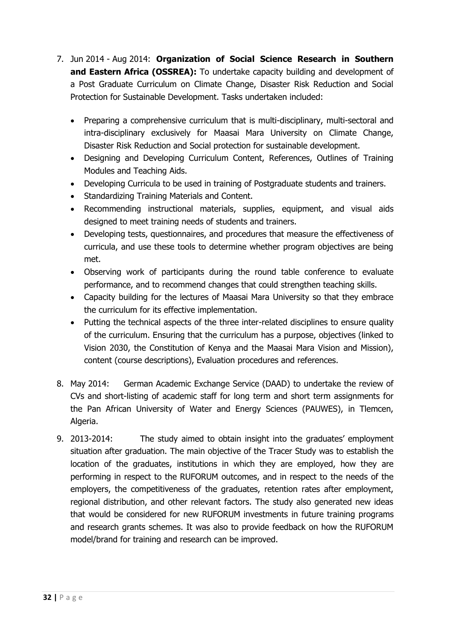- 7. Jun 2014 Aug 2014: **Organization of Social Science Research in Southern**  and Eastern Africa (OSSREA): To undertake capacity building and development of a Post Graduate Curriculum on Climate Change, Disaster Risk Reduction and Social Protection for Sustainable Development. Tasks undertaken included:
	- Preparing a comprehensive curriculum that is multi-disciplinary, multi-sectoral and intra-disciplinary exclusively for Maasai Mara University on Climate Change, Disaster Risk Reduction and Social protection for sustainable development.
	- Designing and Developing Curriculum Content, References, Outlines of Training Modules and Teaching Aids.
	- Developing Curricula to be used in training of Postgraduate students and trainers.
	- Standardizing Training Materials and Content.
	- Recommending instructional materials, supplies, equipment, and visual aids designed to meet training needs of students and trainers.
	- Developing tests, questionnaires, and procedures that measure the effectiveness of curricula, and use these tools to determine whether program objectives are being met.
	- Observing work of participants during the round table conference to evaluate performance, and to recommend changes that could strengthen teaching skills.
	- Capacity building for the lectures of Maasai Mara University so that they embrace the curriculum for its effective implementation.
	- Putting the technical aspects of the three inter-related disciplines to ensure quality of the curriculum. Ensuring that the curriculum has a purpose, objectives (linked to Vision 2030, the Constitution of Kenya and the Maasai Mara Vision and Mission), content (course descriptions), Evaluation procedures and references.
- 8. May 2014: German Academic Exchange Service (DAAD) to undertake the review of CVs and short-listing of academic staff for long term and short term assignments for the Pan African University of Water and Energy Sciences (PAUWES), in Tlemcen, Algeria.
- 9. 2013-2014: The study aimed to obtain insight into the graduates' employment situation after graduation. The main objective of the Tracer Study was to establish the location of the graduates, institutions in which they are employed, how they are performing in respect to the RUFORUM outcomes, and in respect to the needs of the employers, the competitiveness of the graduates, retention rates after employment, regional distribution, and other relevant factors. The study also generated new ideas that would be considered for new RUFORUM investments in future training programs and research grants schemes. It was also to provide feedback on how the RUFORUM model/brand for training and research can be improved.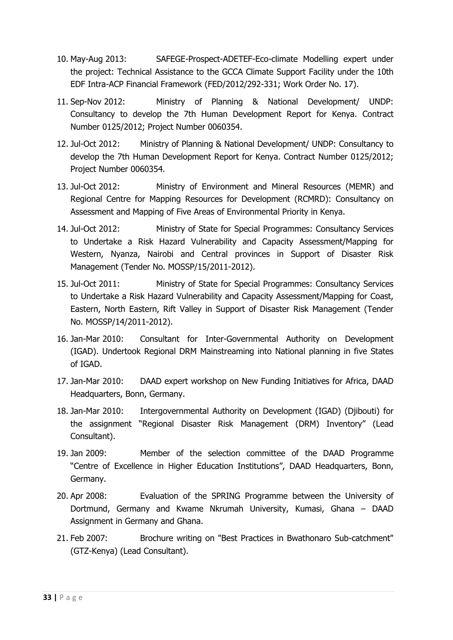- 10. May-Aug 2013: SAFEGE-Prospect-ADETEF-Eco-climate Modelling expert under the project: Technical Assistance to the GCCA Climate Support Facility under the 10th EDF Intra-ACP Financial Framework (FED/2012/292-331; Work Order No. 17).
- 11. Sep-Nov 2012: Ministry of Planning & National Development/ UNDP: Consultancy to develop the 7th Human Development Report for Kenya. Contract Number 0125/2012; Project Number 0060354.
- 12. Jul-Oct 2012: Ministry of Planning & National Development/ UNDP: Consultancy to develop the 7th Human Development Report for Kenya. Contract Number 0125/2012; Project Number 0060354.
- 13. Jul-Oct 2012: Ministry of Environment and Mineral Resources (MEMR) and Regional Centre for Mapping Resources for Development (RCMRD): Consultancy on Assessment and Mapping of Five Areas of Environmental Priority in Kenya.
- 14. Jul-Oct 2012: Ministry of State for Special Programmes: Consultancy Services to Undertake a Risk Hazard Vulnerability and Capacity Assessment/Mapping for Western, Nyanza, Nairobi and Central provinces in Support of Disaster Risk Management (Tender No. MOSSP/15/2011-2012).
- 15. Jul-Oct 2011: Ministry of State for Special Programmes: Consultancy Services to Undertake a Risk Hazard Vulnerability and Capacity Assessment/Mapping for Coast, Eastern, North Eastern, Rift Valley in Support of Disaster Risk Management (Tender No. MOSSP/14/2011-2012).
- 16. Jan-Mar 2010: Consultant for Inter-Governmental Authority on Development (IGAD). Undertook Regional DRM Mainstreaming into National planning in five States of IGAD.
- 17. Jan-Mar 2010: DAAD expert workshop on New Funding Initiatives for Africa, DAAD Headquarters, Bonn, Germany.
- 18. Jan-Mar 2010: Intergovernmental Authority on Development (IGAD) (Djibouti) for the assignment "Regional Disaster Risk Management (DRM) Inventory" (Lead Consultant).
- 19. Jan 2009: Member of the selection committee of the DAAD Programme "Centre of Excellence in Higher Education Institutions", DAAD Headquarters, Bonn, Germany.
- 20. Apr 2008: Evaluation of the SPRING Programme between the University of Dortmund, Germany and Kwame Nkrumah University, Kumasi, Ghana – DAAD Assignment in Germany and Ghana.
- 21. Feb 2007: Brochure writing on "Best Practices in Bwathonaro Sub-catchment" (GTZ-Kenya) (Lead Consultant).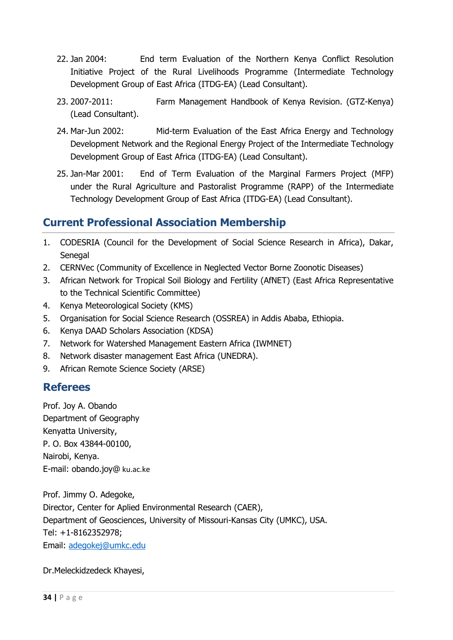- 22. Jan 2004: End term Evaluation of the Northern Kenya Conflict Resolution Initiative Project of the Rural Livelihoods Programme (Intermediate Technology Development Group of East Africa (ITDG-EA) (Lead Consultant).
- 23. 2007-2011: Farm Management Handbook of Kenya Revision. (GTZ-Kenya) (Lead Consultant).
- 24. Mar-Jun 2002: Mid-term Evaluation of the East Africa Energy and Technology Development Network and the Regional Energy Project of the Intermediate Technology Development Group of East Africa (ITDG-EA) (Lead Consultant).
- 25. Jan-Mar 2001: End of Term Evaluation of the Marginal Farmers Project (MFP) under the Rural Agriculture and Pastoralist Programme (RAPP) of the Intermediate Technology Development Group of East Africa (ITDG-EA) (Lead Consultant).

# **Current Professional Association Membership**

- 1. CODESRIA (Council for the Development of Social Science Research in Africa), Dakar, Senegal
- 2. CERNVec (Community of Excellence in Neglected Vector Borne Zoonotic Diseases)
- 3. African Network for Tropical Soil Biology and Fertility (AfNET) (East Africa Representative to the Technical Scientific Committee)
- 4. Kenya Meteorological Society (KMS)
- 5. Organisation for Social Science Research (OSSREA) in Addis Ababa, Ethiopia.
- 6. Kenya DAAD Scholars Association (KDSA)
- 7. Network for Watershed Management Eastern Africa (IWMNET)
- 8. Network disaster management East Africa (UNEDRA).
- 9. African Remote Science Society (ARSE)

## **Referees**

Prof. Joy A. Obando Department of Geography Kenyatta University, P. O. Box 43844-00100, Nairobi, Kenya. E-mail: obando.joy@ ku.ac.ke

Prof. Jimmy O. Adegoke, Director, Center for Aplied Environmental Research (CAER), Department of Geosciences, University of Missouri-Kansas City (UMKC), USA. Tel: +1-8162352978; Email: [adegokej@umkc.edu](mailto:adegokej@umkc.edu)

Dr.Meleckidzedeck Khayesi,